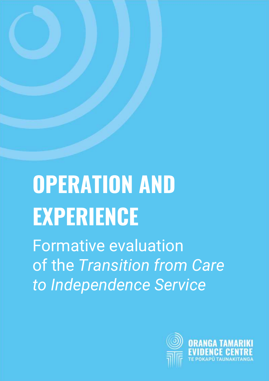# **OPERATION AND EXPERIENCE**

Formative evaluation of the *Transition from Care to Independence Service*

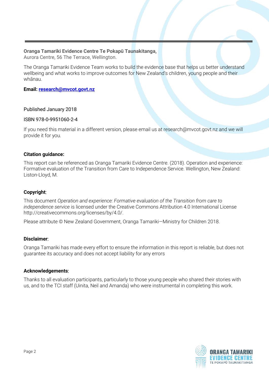#### **Oranga Tamariki Evidence Centre Te Pokapū Taunakitanga,**

Aurora Centre, 56 The Terrace, Wellington.

The Oranga Tamariki Evidence Team works to build the evidence base that helps us better understand wellbeing and what works to improve outcomes for New Zealand's children, young people and their whānau.

#### **Email[: research@mvcot.govt.nz](mailto:research@mvcot.govt.nz)**

#### Published January 2018

#### ISBN 978-0-9951060-2-4

If you need this material in a different version, please email us at research@mvcot.govt.nz and we will provide it for you.

#### **Citation guidance:**

This report can be referenced as Oranga Tamariki Evidence Centre. (2018). Operation and experience: Formative evaluation of the Transition from Care to Independence Service. Wellington, New Zealand: Liston-Lloyd, M.

#### **Copyright**:

This document *Operation and experience: Formative evaluation of the Transition from care to independence service* is licensed under the Creative Commons Attribution 4.0 International License http://creativecommons.org/licenses/by/4.0/.

Please attribute © New Zealand Government, Oranga Tamariki—Ministry for Children 2018.

#### **Disclaimer**:

Oranga Tamariki has made every effort to ensure the information in this report is reliable, but does not guarantee its accuracy and does not accept liability for any errors

#### **Acknowledgements**:

Thanks to all evaluation participants, particularly to those young people who shared their stories with us, and to the TCI staff (Uinita, Neil and Amanda) who were instrumental in completing this work.

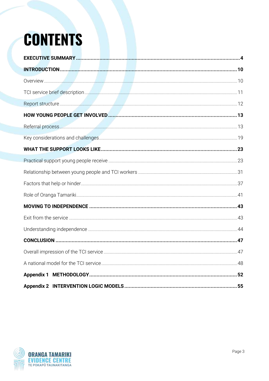## **CONTENTS**

| 52 |
|----|
|    |

<span id="page-2-0"></span>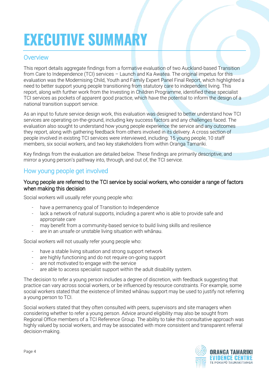## **EXECUTIVE SUMMARY**

#### **Overview**

This report details aggregate findings from a formative evaluation of two Auckland-based Transition from Care to Independence (TCI) services – Launch and Ka Awatea. The original impetus for this evaluation was the Modernising Child, Youth and Family Expert Panel Final Report, which highlighted a need to better support young people transitioning from statutory care to independent living. This report, along with further work from the Investing in Children Programme, identified these specialist TCI services as pockets of apparent good practice, which have the potential to inform the design of a national transition support service.

As an input to future service design work, this evaluation was designed to better understand how TCI services are operating on-the-ground, including key success factors and any challenges faced. The evaluation also sought to understand how young people experience the service and any outcomes they report, along with gathering feedback from others involved in its delivery. A cross section of people involved in existing TCI services were interviewed, including: 15 young people, 10 staff members, six social workers, and two key stakeholders from within Oranga Tamariki.

Key findings from the evaluation are detailed below. These findings are primarily descriptive, and mirror a young person's pathway into, through, and out of, the TCI service.

#### How young people get involved

#### Young people are referred to the TCI service by social workers, who consider a range of factors when making this decision

Social workers will usually refer young people who:

- have a permanency goal of Transition to Independence
- lack a network of natural supports, including a parent who is able to provide safe and appropriate care
- may benefit from a community-based service to build living skills and resilience
- are in an unsafe or unstable living situation with whānau.

Social workers will not usually refer young people who:

- have a stable living situation and strong support network
- are highly functioning and do not require on-going support
- are not motivated to engage with the service
- are able to access specialist support within the adult disability system.

The decision to refer a young person includes a degree of discretion, with feedback suggesting that practice can vary across social workers, or be influenced by resource constraints. For example, some social workers stated that the existence of limited whānau support may be used to justify not referring a young person to TCI.

Social workers stated that they often consulted with peers, supervisors and site managers when considering whether to refer a young person. Advice around eligibility may also be sought from Regional Office members of a TCI Reference Group. The ability to take this consultative approach was highly valued by social workers, and may be associated with more consistent and transparent referral decision-making.

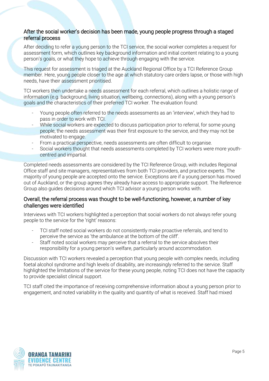#### After the social worker's decision has been made, young people progress through a staged referral process

After deciding to refer a young person to the TCI service, the social worker completes a request for assessment form, which outlines key background information and initial content relating to a young person's goals, or what they hope to achieve through engaging with the service.

This request for assessment is triaged at the Auckland Regional Office by a TCI Reference Group member. Here, young people closer to the age at which statutory care orders lapse, or those with high needs, have their assessment prioritised.

TCI workers then undertake a needs assessment for each referral, which outlines a holistic range of information (e.g. background, living situation, wellbeing, connections), along with a young person's goals and the characteristics of their preferred TCI worker. The evaluation found:

- Young people often referred to the needs assessments as an 'interview', which they had to pass in order to work with TCI.
- While social workers are expected to discuss participation prior to referral, for some young people, the needs assessment was their first exposure to the service, and they may not be motivated to engage.
- From a practical perspective, needs assessments are often difficult to organise.
- Social workers thought that needs assessments completed by TCI workers were more youthcentred and impartial.

Completed needs assessments are considered by the TCI Reference Group, with includes Regional Office staff and site managers, representatives from both TCI providers, and practice experts. The majority of young people are accepted onto the service. Exceptions are if a young person has moved out of Auckland, or the group agrees they already have access to appropriate support. The Reference Group also guides decisions around which TCI advisor a young person works with.

#### Overall, the referral process was thought to be well-functioning, however, a number of key challenges were identified

Interviews with TCI workers highlighted a perception that social workers do not always refer young people to the service for the 'right' reasons:

- TCI staff noted social workers do not consistently make proactive referrals, and tend to perceive the service as 'the ambulance at the bottom of the cliff'.
- Staff noted social workers may perceive that a referral to the service absolves their responsibility for a young person's welfare, particularly around accommodation.

Discussion with TCI workers revealed a perception that young people with complex needs, including foetal alcohol syndrome and high levels of disability, are increasingly referred to the service. Staff highlighted the limitations of the service for these young people, noting TCI does not have the capacity to provide specialist clinical support.

TCI staff cited the importance of receiving comprehensive information about a young person prior to engagement, and noted variability in the quality and quantity of what is received. Staff had mixed

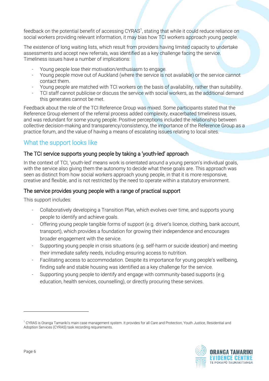feedback on the potential benefit of accessing CYRAS<sup>1</sup>, stating that while it could reduce reliance on social workers providing relevant information, it may bias how TCI workers approach young people.

The existence of long waiting lists, which result from providers having limited capacity to undertake assessments and accept new referrals, was identified as a key challenge facing the service. Timeliness issues have a number of implications:

- Young people lose their motivation/enthusiasm to engage.
- Young people move out of Auckland (where the service is not available) or the service cannot contact them.
- Young people are matched with TCI workers on the basis of availability, rather than suitability.
- TCI staff cannot publicise or discuss the service with social workers, as the additional demand this generates cannot be met.

Feedback about the role of the TCI Reference Group was mixed. Some participants stated that the Reference Group element of the referral process added complexity, exacerbated timeliness issues, and was redundant for some young people. Positive perceptions included the relationship between collective decision-making and transparency/consistency, the importance of the Reference Group as a practice forum, and the value of having a means of escalating issues relating to local sites.

#### What the support looks like

#### The TCI service supports young people by taking a 'youth-led' approach

In the context of TCI, 'youth-led' means work is orientated around a young person's individual goals, with the service also giving them the autonomy to decide what these goals are. This approach was seen as distinct from how social workers approach young people, in that it is more responsive, creative and flexible, and is not restricted by the need to operate within a statutory environment.

#### The service provides young people with a range of practical support

This support includes:

- Collaboratively developing a Transition Plan, which evolves over time, and supports young people to identify and achieve goals.
- Offering young people tangible forms of support (e.g. driver's licence, clothing, bank account, transport), which provides a foundation for growing their independence and encourages broader engagement with the service.
- Supporting young people in crisis situations (e.g. self-harm or suicide ideation) and meeting their immediate safety needs, including ensuring access to nutrition.
- Facilitating access to accommodation. Despite its importance for young people's wellbeing, finding safe and stable housing was identified as a key challenge for the service.
- Supporting young people to identify and engage with community-based supports (e.g. education, health services, counselling), or directly procuring these services.

<sup>1</sup> CYRAS is Oranga Tamariki's main case management system. It provides for all Care and Protection, Youth Justice, Residential and Adoption Services (CYRAS) task recording requirements.

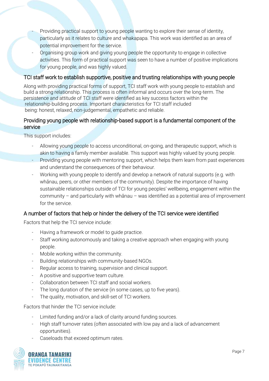- Providing practical support to young people wanting to explore their sense of identity, particularly as it relates to culture and whakapapa. This work was identified as an area of potential improvement for the service.
- Organising group work and giving young people the opportunity to engage in collective activities. This form of practical support was seen to have a number of positive implications for young people, and was highly valued.

#### TCI staff work to establish supportive, positive and trusting relationships with young people

Along with providing practical forms of support, TCI staff work with young people to establish and build a strong relationship. This process is often informal and occurs over the long-term. The persistence and attitude of TCI staff were identified as key success factors within the relationship-building process. Important characteristics for TCI staff included being: honest, relaxed, non-judgemental, empathetic and reliable.

#### Providing young people with relationship-based support is a fundamental component of the service

This support includes:

- Allowing young people to access unconditional, on-going, and therapeutic support, which is akin to having a family member available. This support was highly valued by young people.
- Providing young people with mentoring support, which helps them learn from past experiences and understand the consequences of their behaviour.
- Working with young people to identify and develop a network of natural supports (e.g. with whānau, peers, or other members of the community). Despite the importance of having sustainable relationships outside of TCI for young peoples' wellbeing, engagement within the community – and particularly with whānau – was identified as a potential area of improvement for the service.

#### A number of factors that help or hinder the delivery of the TCI service were identified

Factors that help the TCI service include:

- Having a framework or model to quide practice.
- Staff working autonomously and taking a creative approach when engaging with young people.
- Mobile working within the community.
- Building relationships with community-based NGOs.
- Regular access to training, supervision and clinical support.
- A positive and supportive team culture.
- Collaboration between TCI staff and social workers.
- The long duration of the service (in some cases, up to five years).
- The quality, motivation, and skill-set of TCI workers.

Factors that hinder the TCI service include:

- Limited funding and/or a lack of clarity around funding sources.
- High staff turnover rates (often associated with low pay and a lack of advancement opportunities).
- Caseloads that exceed optimum rates.

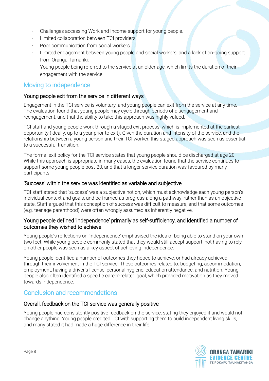- Challenges accessing Work and Income support for young people.
- Limited collaboration between TCI providers.
- Poor communication from social workers.
- Limited engagement between young people and social workers, and a lack of on-going support from Oranga Tamariki.
- Young people being referred to the service at an older age, which limits the duration of their engagement with the service.

#### Moving to independence

#### Young people exit from the service in different ways

Engagement in the TCI service is voluntary, and young people can exit from the service at any time. The evaluation found that young people may cycle through periods of disengagement and reengagement, and that the ability to take this approach was highly valued.

TCI staff and young people work through a staged exit process, which is implemented at the earliest opportunity (ideally, up to a year prior to exit). Given the duration and intensity of the service, and the relationship between a young person and their TCI worker, this staged approach was seen as essential to a successful transition.

The formal exit policy for the TCI service states that young people should be discharged at age 20. While this approach is appropriate in many cases, the evaluation found that the service continues to support some young people post-20, and that a longer service duration was favoured by many participants.

#### 'Success' within the service was identified as variable and subjective

TCI staff stated that 'success' was a subjective notion, which must acknowledge each young person's individual context and goals, and be framed as progress along a pathway, rather than as an objective state. Staff argued that this conception of success was difficult to measure, and that some outcomes (e.g. teenage parenthood) were often wrongly assumed as inherently negative.

#### Young people defined 'independence' primarily as self-sufficiency, and identified a number of outcomes they wished to achieve

Young people's reflections on 'independence' emphasised the idea of being able to stand on your own two feet. While young people commonly stated that they would still accept support, not having to rely on other people was seen as a key aspect of achieving independence.

Young people identified a number of outcomes they hoped to achieve, or had already achieved, through their involvement in the TCI service. These outcomes related to: budgeting, accommodation, employment, having a driver's license, personal hygiene, education attendance, and nutrition. Young people also often identified a specific career-related goal, which provided motivation as they moved towards independence.

#### Conclusion and recommendations

#### Overall, feedback on the TCI service was generally positive

Young people had consistently positive feedback on the service, stating they enjoyed it and would not change anything. Young people credited TCI with supporting them to build independent living skills, and many stated it had made a huge difference in their life.

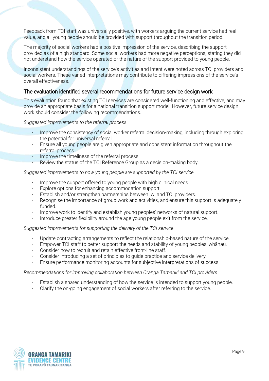Feedback from TCI staff was universally positive, with workers arguing the current service had real value, and all young people should be provided with support throughout the transition period.

The majority of social workers had a positive impression of the service, describing the support provided as of a high standard. Some social workers had more negative perceptions, stating they did not understand how the service operated or the nature of the support provided to young people.

Inconsistent understandings of the service's activities and intent were noted across TCI providers and social workers. These varied interpretations may contribute to differing impressions of the service's overall effectiveness.

#### The evaluation identified several recommendations for future service design work

This evaluation found that existing TCI services are considered well-functioning and effective, and may provide an appropriate basis for a national transition support model. However, future service design work should consider the following recommendations.

*Suggested improvements to the referral process*

- Improve the consistency of social worker referral decision-making, including through exploring the potential for universal referral.
- Ensure all young people are given appropriate and consistent information throughout the referral process.
- Improve the timeliness of the referral process.
- Review the status of the TCI Reference Group as a decision-making body.

*Suggested improvements to how young people are supported by the TCI service*

- Improve the support offered to young people with high clinical needs.
- Explore options for enhancing accommodation support.
- Establish and/or strengthen partnerships between iwi and TCI providers.
- Recognise the importance of group work and activities, and ensure this support is adequately funded.
- Improve work to identify and establish young peoples' networks of natural support.
- Introduce greater flexibility around the age young people exit from the service.

*Suggested improvements for supporting the delivery of the TCI service*

- Update contracting arrangements to reflect the relationship-based nature of the service.
- Empower TCI staff to better support the needs and stability of young peoples' whānau.
- Consider how to recruit and retain effective front-line staff.
- Consider introducing a set of principles to guide practice and service delivery.
- Ensure performance monitoring accounts for subjective interpretations of success.

#### *Recommendations for improving collaboration between Oranga Tamariki and TCI providers*

- Establish a shared understanding of how the service is intended to support young people.
- Clarify the on-going engagement of social workers after referring to the service.

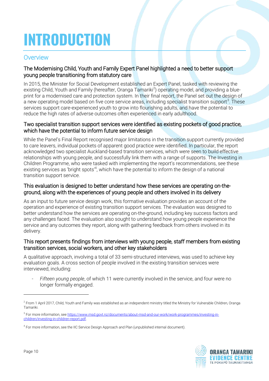## <span id="page-9-0"></span>**INTRODUCTION**

#### <span id="page-9-1"></span>**Overview**

#### The Modernising Child, Youth and Family Expert Panel highlighted a need to better support young people transitioning from statutory care

In 2015, the Minister for Social Development established an Expert Panel, tasked with reviewing the existing Child, Youth and Family (hereafter, Oranga Tamariki<sup>2</sup>) operating model, and providing a blueprint for a modernised care and protection system. In their final report, the Panel set out the design of a new operating model based on five core service areas, including specialist transition support<sup>3</sup>. These services support care-experienced youth to grow into flourishing adults, and have the potential to reduce the high rates of adverse outcomes often experienced in early adulthood.

#### Two specialist transition support services were identified as existing pockets of good practice, which have the potential to inform future service design

While the Panel's Final Report recognised major limitations in the transition support currently provided to care leavers, individual pockets of apparent good practice were identified. In particular, the report acknowledged two specialist Auckland-based transition services, which were seen to build effective relationships with young people, and successfully link them with a range of supports. The Investing in Children Programme, who were tasked with implementing the report's recommendations, see these existing services as 'bright spots'<sup>4</sup>, which have the potential to inform the design of a national transition support service.

#### This evaluation is designed to better understand how these services are operating on-theground, along with the experiences of young people and others involved in its delivery

As an input to future service design work, this formative evaluation provides an account of the operation and experience of existing transition support services. The evaluation was designed to better understand how the services are operating on-the-ground, including key success factors and any challenges faced. The evaluation also sought to understand how young people experience the service and any outcomes they report, along with gathering feedback from others involved in its delivery.

#### This report presents findings from interviews with young people, staff members from existing transition services, social workers, and other key stakeholders

A qualitative approach, involving a total of 33 semi-structured interviews, was used to achieve key evaluation goals. A cross section of people involved in the existing transition services were interviewed, including:

Fifteen young people, of which 11 were currently involved in the service, and four were no longer formally engaged.

<sup>&</sup>lt;sup>4</sup> For more information, see the IIC Service Design Approach and Plan (unpublished internal document).



 $^2$  From 1 April 2017, Child, Youth and Family was established as an independent ministry titled the Ministry for Vulnerable Children, Oranga Tamariki.

<sup>&</sup>lt;sup>3</sup> For more information, se[e https://www.msd.govt.nz/documents/about-msd-and-our-work/work-programmes/investing-in](https://www.msd.govt.nz/documents/about-msd-and-our-work/work-programmes/investing-in-children/investing-in-children-report.pdf)[children/investing-in-children-report.pdf.](https://www.msd.govt.nz/documents/about-msd-and-our-work/work-programmes/investing-in-children/investing-in-children-report.pdf)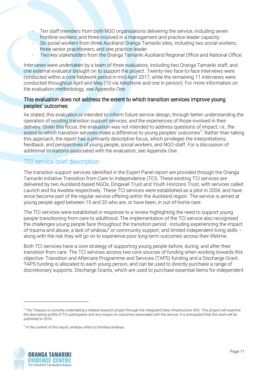- *Ten staff members* from both NGO organisations delivering the service, including seven frontline workers, and three involved in a management and practice leader capacity.
- *Six social workers* from three Auckland Oranga Tamariki sites, including two social workers, three senior practitioners, and one practice leader.
- *Two key stakeholders* from the Oranga Tamariki Auckland Regional Office and National Office.

Interviews were undertaken by a team of three evaluators, including two Oranga Tamariki staff, and one external evaluator brought on to support the project. Twenty-two face-to-face interviews were conducted within a core fieldwork period in mid-April 2017, while the remaining 11 interviews were conducted throughout April and May (10 via telephone and one in person). For more information on the evaluation methodology, see Appendix One.

#### This evaluation does not address the extent to which transition services improve young peoples' outcomes

As stated, this evaluation is intended to inform future service design, through better understanding the operation of existing transition support services, and the experiences of those involved in their delivery. Given this focus, the evaluation was not intended to address questions of impact; i.e., the extent to which transition services make a difference to young peoples' outcomes<sup>5</sup>. Rather than taking this approach, the report has a primarily descriptive focus, which privileges the interpretations, feedback, and perspectives of young people, social workers, and NGO staff. For a discussion of additional limitations associated with the evaluation, see Appendix One.

#### <span id="page-10-0"></span>TCI service brief description

The transition support services identified in the Expert Panel report are provided through the Oranga Tamariki initiative Transition from Care to Independence (TCI). These existing TCI services are delivered by two Auckland-based NGOs, Dingwall Trust and Youth Horizons Trust, with services called Launch and Ka Awatea respectively. These TCI services were established as a pilot in 2004, and have since become part of the regular service offering within the Auckland region. The service is aimed at young people aged between 15 and 20 who are, or have been, in out-of-home care.

The TCI services were established in response to a review highlighting the need to support young people transitioning from care to adulthood. The implementation of the TCI service also recognised the challenges young people face throughout the transition period - including experiencing the impact of trauma and abuse, a lack of whānau<sup>6</sup> or community support, and limited independent living skills along with the risk they will go on to experience poor long-term outcomes across their lifetime.

Both TCI services have a core strategy of supporting young people before, during, and after their transition from care. The TCI services access two core sources of funding when working towards this objective: Transition and Aftercare Programme and Services (TAPS) funding and a Discharge Grant. TAPS funding is allocated to each young person, and can be used to directly purchase a range of discretionary supports. Discharge Grants, which are used to purchase essential items for independent

 $<sup>6</sup>$  In the context of this report, whānau refers to families/whānau.</sup>



 $^5$  The Treasury is currently undertaking a related research project through the Integrated Data Infrastructure (IDI). This project will examine the descriptive profile of TCI participants and any impact on outcomes associated with the service. It is anticipated that this work will be published in 2018.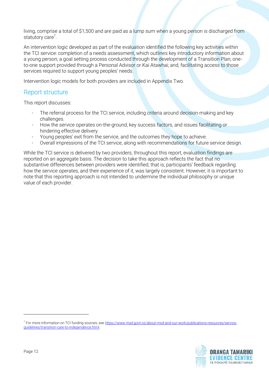living, comprise a total of \$1,500 and are paid as a lump sum when a young person is discharged from statutory care<sup>7</sup>.

An intervention logic developed as part of the evaluation identified the following key activities within the TCI service: completion of a needs assessment, which outlines key introductory information about a young person; a goal setting process conducted through the development of a Transition Plan; oneto-one support provided through a Personal Advisor or Kai Atawhai; and, facilitating access to those services required to support young peoples' needs.

Intervention logic models for both providers are included in Appendix Two.

#### <span id="page-11-0"></span>Report structure

This report discusses:

- The referral process for the TCI service, including criteria around decision-making and key challenges.
- How the service operates on-the-ground, key success factors, and issues facilitating or hindering effective delivery.
- Young peoples' exit from the service, and the outcomes they hope to achieve.
- Overall impressions of the TCI service, along with recommendations for future service design.

While the TCI service is delivered by two providers, throughout this report, evaluation findings are reported on an aggregate basis. The decision to take this approach reflects the fact that no substantive differences between providers were identified; that is, participants' feedback regarding how the service operates, and their experience of it, was largely consistent. However, it is important to note that this reporting approach is not intended to undermine the individual philosophy or unique value of each provider.

<sup>&</sup>lt;sup>7</sup> For more information on TCI funding sources, se[e https://www.msd.govt.nz/about-msd-and-our-work/publications-resources/service](https://www.msd.govt.nz/about-msd-and-our-work/publications-resources/service-guidelines/transition-care-to-independence.html)[guidelines/transition-care-to-independence.html.](https://www.msd.govt.nz/about-msd-and-our-work/publications-resources/service-guidelines/transition-care-to-independence.html)

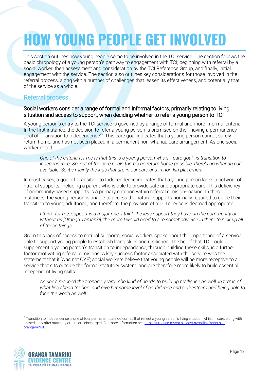## <span id="page-12-0"></span>**HOW YOUNG PEOPLE GET INVOLVED**

This section outlines how young people come to be involved in the TCI service. The section follows the basic chronology of a young person's pathway to engagement with TCI, beginning with referral by a social worker, then assessment and consideration by the TCI Reference Group, and finally, initial engagement with the service. The section also outlines key considerations for those involved in the referral process, along with a number of challenges that lessen its effectiveness, and potentially that of the service as a whole.

#### <span id="page-12-1"></span>Referral process

#### Social workers consider a range of formal and informal factors, primarily relating to living situation and access to support, when deciding whether to refer a young person to TCI

A young person's entry to the TCI service is governed by a range of formal and more informal criteria. In the first instance, the decision to refer a young person is premised on their having a permanency goal of 'Transition to Independence'<sup>8</sup>. This care goal indicates that a young person cannot safely return home, and has not been placed in a permanent non-whānau care arrangement. As one social worker noted:

*One of the criteria for me is that this is a young person who's… care goal…is transition to independence. So, out of the care goals there's no return home possible, there's no whānau care available. So it's mainly the kids that are in our care and in non-kin placement.*

In most cases, a goal of Transition to Independence indicates that a young person lacks a network of natural supports, including a parent who is able to provide safe and appropriate care. This deficiency of community-based supports is a primary criterion within referral decision-making. In these instances, the young person is unable to access the natural supports normally required to guide their transition to young adulthood, and therefore, the provision of a TCI service is deemed appropriate:

*I think, for me, support is a major one. I think the less support they have...in the community or without us [Oranga Tamariki], the more I would need to see somebody else in there to pick up all of those things.*

Given this lack of access to natural supports, social workers spoke about the importance of a service able to support young people to establish living skills and resilience. The belief that TCI could supplement a young person's transition to independence, through building these skills, is a further factor motivating referral decisions. A key success factor associated with the service was the statement that it 'was not CYF'; social workers believe that young people will be more receptive to a service that sits outside the formal statutory system, and are therefore more likely to build essential independent living skills:

*As she's reached the teenage years…she kind of needs to build up resilience as well, in terms of what lies ahead for her...and give her some level of confidence and self-esteem and being able to face the world as well.* 

 $8$  Transition to Independence is one of four permanent care outcomes that reflect a young person's living situation whilst in care, along with immediately after statutory orders are discharged. For more information see [https://practice-mvcot.ssi.govt.nz/policy/noho-ake](https://practice-mvcot.ssi.govt.nz/policy/noho-ake-oranga/#null)[oranga/#null.](https://practice-mvcot.ssi.govt.nz/policy/noho-ake-oranga/#null)

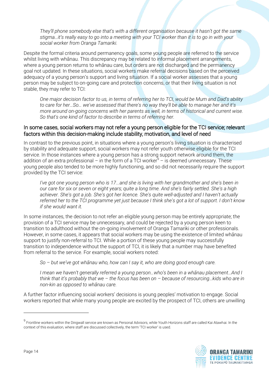*They'll phone somebody else that's with a different organisation because it hasn't got the same stigma…it's really easy to go into a meeting with your TCI worker than it is to go in with your social worker from Oranga Tamariki.*

Despite the formal criteria around permanency goals, some young people are referred to the service whilst living with whānau. This discrepancy may be related to informal placement arrangements, where a young person returns to whānau care, but orders are not discharged and the permanency goal not updated. In these situations, social workers make referral decisions based on the perceived adequacy of a young person's support and living situation. If a social worker assesses that a young person may be subject to on-going care and protection concerns, or that their living situation is not stable, they may refer to TCI:

*One major decision factor to us, in terms of referring her to TCI, would be Mum and Dad's ability to care for her…So… we've assessed that there's no way they'll be able to manage her and it's more around on-going concerns with her parents as well, in terms of historical and current wise. So that's one kind of factor to describe in terms of referring her.*

#### In some cases, social workers may not refer a young person eligible for the TCI service; relevant factors within this decision-making include stability, motivation, and level of need

In contrast to the previous point, in situations where a young person's living situation is characterised by stability and adequate support, social workers may not refer youth otherwise eligible for the TCI service. In those instances where a young person has a strong support network around them, the addition of an extra professional – in the form of a TCI worker $9 -$  is deemed unnecessary. These young people also tended to be more highly functioning, and so did not necessarily require the support provided by the TCI service:

*I've got one young person who is 17...and she is living with her grandmother and she's been in our care for six or seven or eight years; quite a long time. And she's fairly settled. She's a high achiever. She's got a job. She's got her licence. She's quite well-adjusted and I haven't actually referred her to the TCI programme yet just because I think she's got a lot of support. I don't know if she would want it.*

In some instances, the decision to not refer an eligible young person may be entirely appropriate; the provision of a TCI service may be unnecessary, and could be rejected by a young person keen to transition to adulthood without the on-going involvement of Oranga Tamariki or other professionals. However, in some cases, it appears that social workers may be using the existence of limited whānau support to justify non-referral to TCI. While a portion of these young people may successfully transition to independence without the support of TCI, it is likely that a number may have benefited from referral to the service. For example, social workers noted:

*So – but we've got whānau who, how can I say it, who are doing good enough care.* 

*I mean we haven't generally referred a young person…who's been in a whānau placement…And I think that it's probably that we – the focus has been on – because of resourcing…kids who are in non-kin as opposed to whānau care.* 

A further factor influencing social workers' decisions is young peoples' motivation to engage. Social workers reported that while many young people are excited by the prospect of TCI, others are unwilling

<sup>&</sup>lt;sup>9</sup> Frontline workers within the Dingwall service are known as Personal Advisors, while Youth Horizons staff are called Kai Atawhai. In the context of this evaluation, where staff are discussed collectively, the term 'TCI worker' is used.

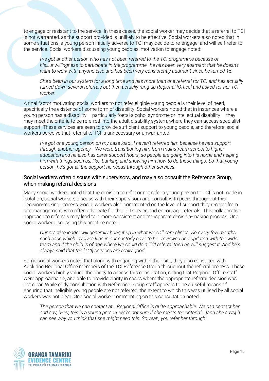to engage or resistant to the service. In these cases, the social worker may decide that a referral to TCI is not warranted, as the support provided is unlikely to be effective. Social workers also noted that in some situations, a young person initially adverse to TCI may decide to re-engage, and will self-refer to the service. Social workers discussing young peoples' motivation to engage noted:

*I've got another person who has not been referred to the TCI programme because of his…unwillingness to participate in the programme…he has been very adamant that he doesn't want to work with anyone else and has been very consistently adamant since he turned 15.*

*She's been in our system for a long time and has more than one referral for TCI and has actually turned down several referrals but then actually rang up Regional [Office] and asked for her TCI worker.* 

A final factor motivating social workers to not refer eligible young people is their level of need, specifically the existence of some form of disability. Social workers noted that in instances where a young person has a disability – particularly foetal alcohol syndrome or intellectual disability – they may meet the criteria to be referred into the adult disability system, where they can access specialist support. These services are seen to provide sufficient support to young people, and therefore, social workers perceive that referral to TCI is unnecessary or unwarranted:

*I've got one young person on my case load…I haven't referred him because he had support through another agency… We were transitioning him from mainstream school to higher education and he also has carer support hours, so people are going into his home and helping him with things such as, like, banking and showing him how to do those things. So that young person, he's got all the support he needs through other services.*

#### Social workers often discuss with supervisors, and may also consult the Reference Group, when making referral decisions

Many social workers noted that the decision to refer or not refer a young person to TCI is not made in isolation; social workers discuss with their supervisors and consult with peers throughout this decision-making process. Social workers also commented on the level of support they receive from site management, who often advocate for the TCI service and encourage referrals. This collaborative approach to referrals may lead to a more consistent and transparent decision-making process. One social worker discussing this practice noted:

*Our practice leader will generally bring it up in what we call care clinics. So every few months, each case which involves kids in our custody have to be…reviewed and updated with the wider team and if the child is of age where we could do a TCI referral then he will suggest it. And he's always said that the [TCI] services are really good.*

Some social workers noted that along with engaging within their site, they also consulted with Auckland Regional Office members of the TCI Reference Group throughout the referral process. These social workers highly valued the ability to access this consultation, noting that Regional Office staff were approachable, and able to provide clarity in cases where the appropriate referral decision was not clear. While early consultation with Reference Group staff appears to be a useful means of ensuring that ineligible young people are not referred, the extent to which this was utilised by all social workers was not clear. One social worker commenting on this consultation noted:

*The person that we can contact at… Regional Office is quite approachable. We can contact her and say, "Hey, this is a young person, we're not sure if she meets the criteria"….[and she says] "I can see why you think that she might need this. So yeah, you refer her through".* 

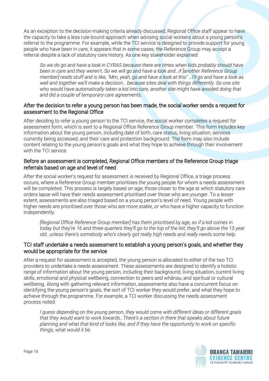As an exception to the decision-making criteria already discussed, Regional Office staff appear to have the capacity to take a less rule-bound approach when advising social workers about a young person's referral to the programme. For example, while the TCI service is designed to provide support for young people who have been in care, it appears that in some cases, the Reference Group may accept a referral despite a lack of statutory care history. As one key stakeholder explained:

*So we do go and have a look in CYRAS because there are times when kids probably should have been in care and they weren't. So we will go and have a look and…if [another Reference Group member] reads stuff and is like, "Mm, yeah, go and have a look at this" …I'll go and have a look as well and together we'll make a decision… because sites deal with things differently. So one site who would have automatically taken a kid into care, another site might have avoided doing that and did a couple of temporary care agreements.*

#### After the decision to refer a young person has been made, the social worker sends a request for assessment to the Regional Office

After deciding to refer a young person to the TCI service, the social worker completes a request for assessment form, which is sent to a Regional Office Reference Group member. This form includes key information about the young person, including date of birth, care status, living situation, services currently being accessed, and their care and protection background. The form may also include content relating to the young person's goals and what they hope to achieve through their involvement with the TCI service.

#### Before an assessment is completed, Regional Office members of the Reference Group triage referrals based on age and level of need

After the social worker's request for assessment is received by Regional Office, a triage process occurs, where a Reference Group member prioritises the young people for whom a needs assessment will be completed. This process is largely based on age; those closer to the age at which statutory care orders lapse will have their needs assessment prioritised over those who are younger. To a lesser extent, assessments are also triaged based on a young person's level of need. Young people with higher needs are prioritised over those who are more stable, or who have a higher capacity to function independently:

*[Regional Office Reference Group member] has them prioritised by age, so if a kid comes in today but they're 16 and three-quarters they'll go to the top of the list; they'll go above the 15 year old…unless there's somebody who's clearly got really high needs and really needs some help.* 

#### TCI staff undertake a needs assessment to establish a young person's goals, and whether they would be appropriate for the service

After a request for assessment is accepted, the young person is allocated to either of the two TCI providers to undertake a needs assessment. These assessments are designed to identify a holistic range of information about the young person, including their background, living situation, current living skills, emotional and physical wellbeing, connection to peers and whānau, and spiritual or cultural wellbeing. Along with gathering relevant information, assessments also have a concurrent focus on identifying the young person's goals, the sort of TCI worker they would prefer, and what they hope to achieve through the programme. For example, a TCI worker discussing the needs assessment process noted:

*I guess depending on the young person, they would come with different ideas or different goals that they would want to work towards…There's a section in there that speaks about future planning and what that kind of looks like, and if they have the opportunity to work on specific things, what would it be.*

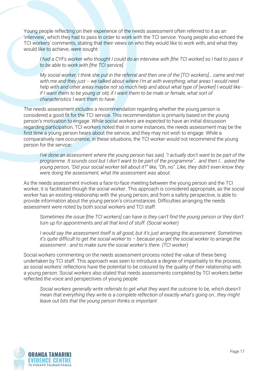Young people reflecting on their experience of the needs assessment often referred to it as an 'interview', which they had to pass in order to work with the TCI service. Young people also echoed the TCI workers' comments, stating that their views on who they would like to work with, and what they would like to achieve, were sought:

*I had a CYFs worker who thought I could do an interview with [the TCI worker] so I had to pass it to be able to work with [the TCI service].*

*My social worker, I think she put in the referral and then one of the [TCI workers]… came and met with me and they just -- we talked about where I'm at with everything; what areas I would need help with and other areas maybe not so much help and about what type of [worker] I would like if I want them to be young or old, if I want them to be male or female, what sort of characteristics I want them to have.*

The needs assessment includes a recommendation regarding whether the young person is considered a good fit for the TCI service. This recommendation is primarily based on the young person's motivation to engage. While social workers are expected to have an initial discussion regarding participation, TCI workers noted that in some instances, the needs assessment may be the first time a young person hears about the service, and they may not wish to engage. While a comparatively rare occurrence, in these situations, the TCI worker would not recommend the young person for the service:

*I've done an assessment where the young person has said, "I actually don't want to be part of the programme. It sounds cool but I don't want to be part of the programme"… and then I… asked the young person, "Did your social worker tell about it?" like, "Oh, no". Like, they didn't even know they were doing the assessment, what the assessment was about.*

As the needs assessment involves a face-to-face meeting between the young person and the TCI worker, it is facilitated though the social worker. This approach is considered appropriate, as the social worker has an existing relationship with the young person, and from a safety perspective, is able to provide information about the young person's circumstances. Difficulties arranging the needs assessment were noted by both social workers and TCI staff:

*Sometimes the issue [the TCI workers] can have is they can't find the young person or they don't turn up for appointments and all that kind of stuff. (Social worker)*

*I would say the assessment itself is all good, but it's just arranging the assessment. Sometimes it's quite difficult to get the social worker to – because you get the social worker to arrange the assessment - and to make sure the social worker's there. (TCI worker)*

Social workers commenting on the needs assessment process noted the value of these being undertaken by TCI staff. This approach was seen to introduce a degree of impartiality to the process, as social workers' reflections have the potential to be coloured by the quality of their relationship with a young person. Social workers also stated that needs assessments completed by TCI workers better reflected the voice and perspectives of young people:

*Social workers generally write referrals to get what they want the outcome to be, which doesn't mean that everything they write is a complete reflection of exactly what's going on…they might leave out bits that the young person thinks is important.* 

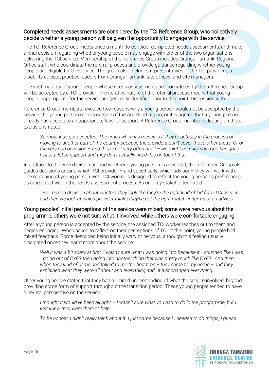#### Completed needs assessments are considered by the TCI Reference Group, who collectively decide whether a young person will be given the opportunity to engage with the service

The TCI Reference Group meets once a month to consider completed needs assessments, and make a final decision regarding whether young people may engage with either of the two organisations delivering the TCI service. Membership of the Reference Group includes Oranga Tamariki Regional Office staff, who coordinate the referral process and provide guidance regarding whether young people are eligible for the service. The group also includes representatives of the TCI providers, a disability advisor, practice leaders from Oranga Tamariki site offices, and site managers.

The vast majority of young people whose needs assessments are considered by the Reference Group will be accepted by a TCI provider. The iterative nature of the referral process means that young people inappropriate for the service are generally identified prior to this point. Discussion with

Reference Group members revealed two reasons why a young person would not be accepted by the service: the young person moves outside of the Auckland region, or it is agreed that a young person already has access to an appropriate level of support. A Reference Group member reflecting on these exclusions noted:

*So most kids get accepted. The times when it's messy is if they're actually in the process of moving to another part of the country because the providers don't cover those other areas. Or on the very odd occasion – and this is not very often at all – we might actually say a kid has got a hell of a lot of support and they don't actually need this on top of that.*

In addition to the core decision around whether a young person is accepted, the Reference Group also guides decisions around which TCI provider – and specifically, which advisor – they will work with. The matching of young person with TCI worker is designed to reflect the young person's preferences, as articulated within the needs assessment process. As one key stakeholder noted:

*…we make a decision about whether they look like they're the right kind of kid for a TCI service and then we look at which provider thinks they've got the right match, in terms of an advisor.*

#### Young peoples' initial perceptions of the service were mixed; some were nervous about the programme, others were not sure what it involved, while others were comfortable engaging

After a young person is accepted by the service, the assigned TCI worker reaches out to them and begins engaging. When asked to reflect on their perceptions of TCI at this point, young people had mixed feedback. Some described being initially wary or nervous, although this feeling usually dissipated once they learnt more about the service:

*Well it was a bit scary at first. I wasn't sure what I was going into because it… sounded like I was …going out of CYFS then going into another thing that was pretty much like CYFS…And then when they kind of came and talked to me the first time -- they came to my home -- and they explained what they were all about and everything and…it just changed everything.*

Other young people stated that they had a limited understanding of what the service involved, beyond providing some form of support throughout the transition period. These young people tended to have a neutral perspective on the service:

*I thought it would've been all right – I wasn't sure what you had to do in the programme, but I just knew they were there to help.* 

*To be honest, I didn't really think about it. I just came because I...needed to do things, I guess.*

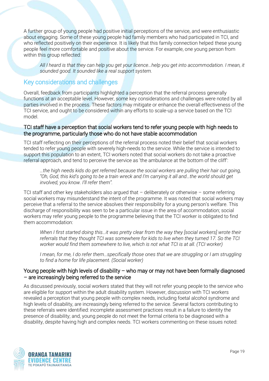A further group of young people had positive initial perceptions of the service, and were enthusiastic about engaging. Some of these young people had family members who had participated in TCI, and who reflected positively on their experience. It is likely that this family connection helped these young people feel more comfortable and positive about the service. For example, one young person from within this group reflected:

<span id="page-18-0"></span>*All I heard is that they can help you get your licence…help you get into accommodation. I mean, it sounded good. It sounded like a real support system.* 

#### Key considerations and challenges

Overall, feedback from participants highlighted a perception that the referral process generally functions at an acceptable level. However, some key considerations and challenges were noted by all parties involved in the process. These factors may mitigate or enhance the overall effectiveness of the TCI service, and ought to be considered within any efforts to scale-up a service based on the TCI model.

#### TCI staff have a perception that social workers tend to refer young people with high needs to the programme, particularly those who do not have stable accommodation

TCI staff reflecting on their perceptions of the referral process noted their belief that social workers tended to refer young people with severely high-needs to the service. While the service is intended to support this population to an extent, TCI workers noted that social workers do not take a proactive referral approach, and tend to perceive the service as 'the ambulance at the bottom of the cliff':

*…the high needs kids do get referred because the social workers are pulling their hair out going, "Oh, God, this kid's going to be a train wreck and I'm carrying it all and…the world should get involved, you know. I'll refer them".*

TCI staff and other key stakeholders also argued that – deliberately or otherwise – some referring social workers may misunderstand the intent of the programme. It was noted that social workers may perceive that a referral to the service absolves their responsibility for a young person's welfare. This discharge of responsibility was seen to be a particular issue in the area of accommodation; social workers may refer young people to the programme believing that the TCI worker is obligated to find them accommodation:

*When I first started doing this…it was pretty clear from the way they [social workers] wrote their referrals that they thought TCI was somewhere for kids to live when they turned 17. So the TCI worker would find them somewhere to live, which is not what TCI is at all. (TCI worker)*

*I* mean, for me, *I* do refer them...specifically those ones that we are struggling or *I* am struggling *to find a home for life placement. (Social worker)*

#### Young people with high levels of disability – who may or may not have been formally diagnosed – are increasingly being referred to the service

As discussed previously, social workers stated that they will not refer young people to the service who are eligible for support within the adult disability system. However, discussion with TCI workers revealed a perception that young people with complex needs, including foetal alcohol syndrome and high levels of disability, are increasingly being referred to the service. Several factors contributing to these referrals were identified: incomplete assessment practices result in a failure to identity the presence of disability; and, young people do not meet the formal criteria to be diagnosed with a disability, despite having high and complex needs. TCI workers commenting on these issues noted:

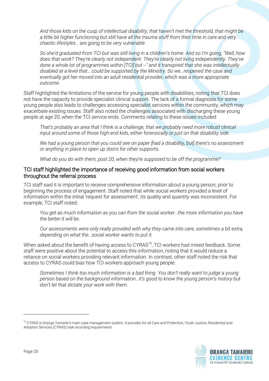*And those kids on the cusp of intellectual disability, that haven't met the threshold, that might be a little bit higher functioning but still have all the trauma stuff from their time in care and very chaotic lifestyles… are going to be very vulnerable.*

*So she'd graduated from TCI but was still living in a children's home. And so I'm going, "Well, how does that work? They're clearly not independent. They're clearly not living independently. They've done a whole lot of programmes within [TCI] but --" and it transpired that she was intellectually disabled at a level that… could be supported by the Ministry. So we…reopened the case and eventually got her moved into an adult residential provider, which was a more appropriate outcome.*

Staff highlighted the limitations of the service for young people with disabilities, noting that TCI does not have the capacity to provide specialist clinical support. The lack of a formal diagnosis for some young people also leads to challenges accessing specialist services within the community, which may exacerbate existing issues. Staff also noted the challenges associated with discharging these young people at age 20, when the TCI service ends. Comments relating to these issues included:

*That's probably an area that I think is a challenge, that we probably need more robust clinical input around some of those high-end kids, either forensically or just on that disability side.* 

*We had a young person that you could see on paper [had a disability, but] there's no assessment or anything in place to open up doors for other supports.*

*What do you do with them, post 20, when they're supposed to be off the programme?*

#### TCI staff highlighted the importance of receiving good information from social workers throughout the referral process

TCI staff said it is important to receive comprehensive information about a young person, prior to beginning the process of engagement. Staff noted that while social workers provided a level of information within the initial 'request for assessment', its quality and quantity was inconsistent. For example, TCI staff noted:

*You get as much information as you can from the social worker…the more information you have the better it will be.* 

*Our assessments were only really provided with why they came into care, sometimes a bit extra, depending on what the…social worker wants to put it.*

When asked about the benefit of having access to CYRAS<sup>10</sup>, TCI workers had mixed feedback. Some staff were positive about the potential to access this information, noting that it would reduce a reliance on social workers providing relevant information. In contrast, other staff noted the risk that access to CYRAS could bias how TCI workers approach young people:

*Sometimes I think too much information is a bad thing. You don't really want to judge a young person based on the background information…it's good to know the young person's history but don't let that dictate your work with them.* 

<sup>&</sup>lt;sup>10</sup> CYRAS is Oranga Tamariki's main case management system. It provides for all Care and Protection, Youth Justice, Residential and Adoption Services (CYRAS) task recording requirements.

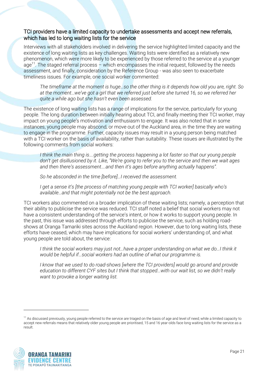#### TCI providers have a limited capacity to undertake assessments and accept new referrals, which has led to long waiting lists for the service

Interviews with all stakeholders involved in delivering the service highlighted limited capacity and the existence of long waiting lists as key challenges. Waiting lists were identified as a relatively new phenomenon, which were more likely to be experienced by those referred to the service at a younger age<sup>11</sup>. The staged referral process – which encompasses the initial request, followed by the needs assessment, and finally, consideration by the Reference Group - was also seen to exacerbate timeliness issues. For example, one social worker commented:

*The timeframe at the moment is huge…so the other thing is it depends how old you are, right. So at the moment…we've got a girl that we referred just before she turned 16, so we referred her quite a while ago but she hasn't even been assessed.* 

The existence of long waiting lists has a range of implications for the service, particularly for young people. The long duration between initially hearing about TCI, and finally meeting their TCI worker, may impact on young people's motivation and enthusiasm to engage. It was also noted that in some instances, young people may abscond, or move out of the Auckland area, in the time they are waiting to engage in the programme. Further, capacity issues may result in a young person being matched with a TCI worker on the basis of availability, rather than suitability. These issues are illustrated by the following comments from social workers:

*I think the main thing is….getting the process happening a lot faster so that our young people don't get disillusioned by it. Like, "We're going to refer you to the service and then we wait ages and then there's assessment….and then it's ages before anything actually happens".*

*So he absconded in the time [before]…I received the assessment.*

*I get a sense it's [the process of matching young people with TCI worker] basically who's available…and that might potentially not be the best approach.* 

TCI workers also commented on a broader implication of these waiting lists; namely, a perception that their ability to publicise the service was reduced. TCI staff noted a belief that social workers may not have a consistent understanding of the service's intent, or how it works to support young people. In the past, this issue was addressed through efforts to publicise the service, such as holding roadshows at Oranga Tamariki sites across the Auckland region. However, due to long waiting lists, these efforts have ceased, which may have implications for social workers' understanding of, and what young people are told about, the service:

*I think the social workers may just not...have a proper understanding on what we do...I think it would be helpful if…social workers had an outline of what our programme is.* 

*I know that we used to do road-shows [where the TCI providers] would go around and provide education to different CYF sites but I think that stopped…with our wait list, so we didn't really want to provoke a longer waiting list.* 

<sup>&</sup>lt;sup>11</sup> As discussed previously, young people referred to the service are triaged on the basis of age and level of need; while a limited capacity to accept new referrals means that relatively older young people are prioritised, 15 and 16 year-olds face long waiting lists for the service as a result.

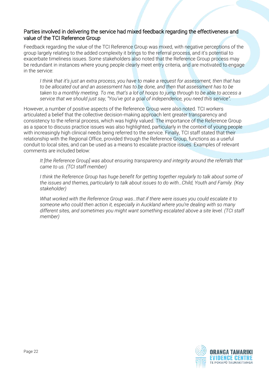#### Parties involved in delivering the service had mixed feedback regarding the effectiveness and value of the TCI Reference Group

Feedback regarding the value of the TCI Reference Group was mixed, with negative perceptions of the group largely relating to the added complexity it brings to the referral process, and it's potential to exacerbate timeliness issues. Some stakeholders also noted that the Reference Group process may be redundant in instances where young people clearly meet entry criteria, and are motivated to engage in the service:

*I think that it's just an extra process, you have to make a request for assessment, then that has to be allocated out and an assessment has to be done, and then that assessment has to be taken to a monthly meeting. To me, that's a lot of hoops to jump through to be able to access a service that we should just say, "You've got a goal of independence, you need this service".* 

However, a number of positive aspects of the Reference Group were also noted. TCI workers articulated a belief that the collective decision-making approach lent greater transparency and consistency to the referral process, which was highly valued. The importance of the Reference Group as a space to discuss practice issues was also highlighted, particularly in the context of young people with increasingly high clinical needs being referred to the service. Finally, TCI staff stated that their relationship with the Regional Office, provided through the Reference Group, functions as a useful conduit to local sites, and can be used as a means to escalate practice issues. Examples of relevant comments are included below:

*It [the Reference Group] was about ensuring transparency and integrity around the referrals that came to us. (TCI staff member)*

*I think the Reference Group has huge benefit for getting together regularly to talk about some of the issues and themes, particularly to talk about issues to do with…Child, Youth and Family. (Key stakeholder)*

*What worked with the Reference Group was…that if there were issues you could escalate it to someone who could then action it, especially in Auckland where you're dealing with so many different sites, and sometimes you might want something escalated above a site level. (TCI staff member)*

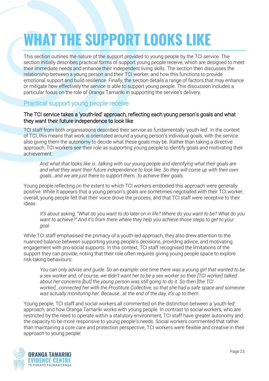## <span id="page-22-0"></span>**WHAT THE SUPPORT LOOKS LIKE**

This section outlines the nature of the support provided to young people by the TCI service. The section initially describes practical forms of support young people receive, which are designed to meet their immediate needs and enhance their independent living skills. The section then discusses the relationship between a young person and their TCI worker, and how this functions to provide emotional support and build resilience. Finally, the section details a range of factors that may enhance or mitigate how effectively the service is able to support young people. This discussion includes a particular focus on the role of Oranga Tamariki in supporting the service's delivery.

#### <span id="page-22-1"></span>Practical support young people receive

#### The TCI service takes a 'youth-led' approach, reflecting each young person's goals and what they want their future independence to look like

TCI staff from both organisations described their service as fundamentally 'youth-led'. In the context of TCI, this means that work is orientated around a young person's individual goals, with the service also giving them the autonomy to decide what these goals may be. Rather than taking a directive approach, TCI workers see their role as supporting young people to identify goals and motivating their achievement:

*And what that looks like is…talking with our young people and identifying what their goals are and what they want their future independence to look like. So they will come up with their own goals…and we are just there to support them…to achieve their goals.* 

Young people reflecting on the extent to which TCI workers embodied this approach were generally positive. While it appears that a young person's goals are sometimes negotiated with their TCI worker, overall, young people felt that their voice drove the process, and that TCI staff were receptive to their ideas:

*It's about asking, "What do you want to do later on in life? Where do you want to be? What do you want to achieve?" And it's from there where they help you achieve those steps to get to your goal.*

While TCI staff emphasised the primacy of a youth-led approach, they also drew attention to the nuanced balance between supporting young people's decisions, providing advice, and motivating engagement with pro-social supports. In this context, TCI staff recognised the limitations of the support they can provide, noting that their role often requires giving young people space to explore risk-taking behaviours:

*You can only advise and guide. So an example: one time there was a young girl that wanted to be a sex worker and, of course, we didn't want her to be a sex worker so their [TCI worker] talked about her concerns [but] the young person was still going to do it. So then [the TCI worker]…connected her with the Prostitute Collective, so that she had a safe space and someone was actually monitoring her. Because…at the end of the day, it's up to them.* 

Young people, TCI staff and social workers all commented on the distinction between a 'youth-led' approach, and how Oranga Tamariki works with young people. In contrast to social workers, who are restricted by the need to operate within a statutory environment, TCI staff have greater autonomy and the capacity to be more responsive to young people's needs. Social workers commented that rather than maintaining a core care and protection perspective, TCI workers were flexible and creative in their approach to young people:

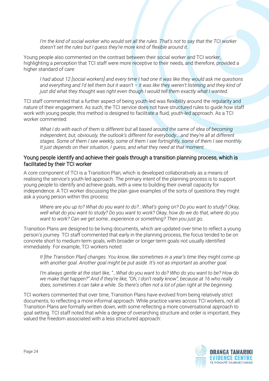*I'm the kind of social worker who would set all the rules. That's not to say that the TCI worker doesn't set the rules but I guess they're more kind of flexible around it.* 

Young people also commented on the contrast between their social worker and TCI worker, highlighting a perception that TCI staff were more receptive to their needs, and therefore, provided a higher standard of care:

*I had about 12 [social workers] and every time I had one it was like they would ask me questions and everything and I'd tell them but it wasn't – it was like they weren't listening and they kind of just did what they thought was right even though I would tell them exactly what I wanted.* 

TCI staff commented that a further aspect of being youth-led was flexibility around the regularity and nature of their engagement. As such, the TCI service does not have structured rules to guide how staff work with young people; this method is designed to facilitate a fluid, youth-led approach. As a TCI worker commented:

*What I do with each of them is different but all based around the same of idea of becoming independent, but, obviously, the outlook's different for everybody….and they're all at different stages. Some of them I see weekly, some of them I see fortnightly, some of them I see monthly. It just depends on their situation, I guess, and what they need at that moment.* 

#### Young people identify and achieve their goals through a transition planning process, which is facilitated by their TCI worker

A core component of TCI is a Transition Plan, which is developed collaboratively as a means of realising the service's youth-led approach. The primary intent of the planning process is to support young people to identify and achieve goals, with a view to building their overall capacity for independence. A TCI worker discussing the plan gave examples of the sorts of questions they might ask a young person within this process:

*Where are you up to? What do you want to do?...What's going on? Do you want to study? Okay, well what do you want to study? Do you want to work? Okay, how do we do that, where do you want to work? Can we get some…experience or something? Then you just go.* 

Transition Plans are designed to be living documents, which are updated over time to reflect a young person's journey. TCI staff commented that early in the planning process, the focus tended to be on concrete short to medium-term goals, with broader or longer-term goals not usually identified immediately. For example, TCI workers noted:

*It [the Transition Plan] changes. You know, like sometimes in a year's time they might come up with another goal. Another goal might be put aside. It's not as important as another goal.*

*I'm always gentle at the start like, "…What do you want to do? Who do you want to be? How do we make that happen?" And if they're like, "Oh, I don't really know", because at 16 who really does, sometimes it can take a while. So there's often not a lot of plan right at the beginning.* 

TCI workers commented that over time, Transition Plans have evolved from being relatively strict documents, to reflecting a more informal approach. While practice varies across TCI workers, not all Transition Plans are formally written down, with some reflecting a more conversational approach to goal setting. TCI staff noted that while a degree of overarching structure and order is important, they valued the freedom associated with a less structured approach:

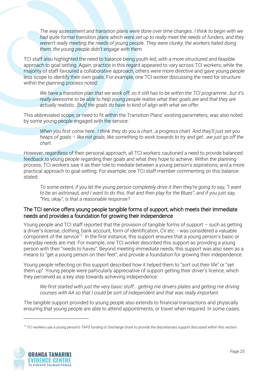*The way assessment and transition plans were done over time changes. I think to begin with we had quite formal transition plans which were set up to really meet the needs of funders, and they weren't really meeting the needs of young people. They were clunky, the workers hated doing them, the young people didn't engage with them.*

TCI staff also highlighted the need to balance being youth-led, with a more structured and feasible approach to goal setting. Again, practice in this regard appeared to vary across TCI workers; while the majority of staff favoured a collaborative approach, others were more directive and gave young people less scope to identify their own goals. For example, one TCI worker discussing the need for structure within the planning process noted:

*We have a transition plan that we work off, so it still has to be within the TCI programme…but it's really awesome to be able to help young people realise what their goals are and that they are actually realistic…[but] the goals do have to kind of align with what we offer.* 

This abbreviated scope, or need to fit within the Transition Plans' existing parameters, was also noted by some young people engaged with the service:

*When you first come here…I think they do you a chart…a progress chart. And they'll just set you heaps of goals – like not goals, like something to work towards to try and get...we just go off the chart.* 

However, regardless of their personal approach, all TCI workers cautioned a need to provide balanced feedback to young people regarding their goals and what they hope to achieve. Within the planning process, TCI workers saw it as their role to mediate between a young person's aspirations, and a more practical approach to goal-setting. For example, one TCI staff member commenting on this balance stated:

*To some extent, if you let the young person completely drive it then they're going to say, "I want to be an astronaut, and I want to do this, that and then play for the Blues", and if you just say, "Yes, okay", is that a reasonable response?*

#### The TCI service offers young people tangible forms of support, which meets their immediate needs and provides a foundation for growing their independence

Young people and TCI staff reported that the provision of tangible forms of support – such as getting a driver's license, clothing, bank account, form of identification, CV etc. - was considered a valuable component of the service<sup>12</sup>. In the first instance, this support ensures that a young person's basic or everyday needs are met. For example, one TCI worker described this support as providing a young person with their "needs to haves". Beyond meeting immediate needs, this support was also seen as a means to "get a young person on their feet", and provide a foundation for growing their independence.

Young people reflecting on this support described how it helped them to "sort out their life" or "set them up". Young people were particularly appreciative of support getting their driver's licence, which they perceived as a key step towards achieving independence:

*We first started with just the very basic stuff:...getting me drivers plates and getting me driving courses with AA so that I could be sort of independent and that was really important.*

The tangible support provided to young people also extends to financial transactions and physically ensuring that young people are able to attend appointments, or travel when required. In some cases,

<sup>&</sup>lt;sup>12</sup> TCI workers use a young person's TAPS funding or Discharge Grant to provide the discretionary support discussed within this section.



l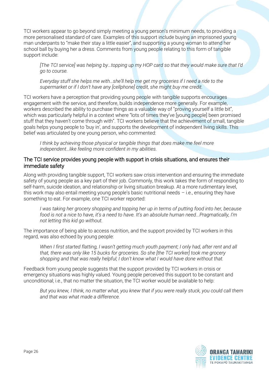TCI workers appear to go beyond simply meeting a young person's minimum needs, to providing a more personalised standard of care. Examples of this support include buying an imprisoned young man underpants to "make their stay a little easier", and supporting a young woman to attend her school ball by buying her a dress. Comments from young people relating to this form of tangible support include:

*[The TCI service] was helping by…topping up my HOP card so that they would make sure that I'd go to course.* 

*Everyday stuff she helps me with…she'll help me get my groceries if I need a ride to the supermarket or if I don't have any [cellphone] credit, she might buy me credit.* 

TCI workers have a perception that providing young people with tangible supports encourages engagement with the service, and therefore, builds independence more generally. For example, workers described the ability to purchase things as a valuable way of "proving yourself a little bit", which was particularly helpful in a context where "lots of times they've [young people] been promised stuff that they haven't come through with". TCI workers believe that the achievement of small, tangible goals helps young people to 'buy in', and supports the development of independent living skills. This belief was articulated by one young person, who commented:

*I think by achieving those physical or tangible things that does make me feel more independent…like feeling more confident in my abilities.* 

#### The TCI service provides young people with support in crisis situations, and ensures their immediate safety

Along with providing tangible support, TCI workers saw crisis intervention and ensuring the immediate safety of young people as a key part of their job. Commonly, this work takes the form of responding to self-harm, suicide ideation, and relationship or living situation breakup. At a more rudimentary level, this work may also entail meeting young people's basic nutritional needs  $-$  i.e., ensuring they have something to eat. For example, one TCI worker reported:

*I was taking her grocery shopping and topping her up in terms of putting food into her, because food is not a nice to have, it's a need to have. It's an absolute human need...Pragmatically, I'm not letting this kid go without.* 

The importance of being able to access nutrition, and the support provided by TCI workers in this regard, was also echoed by young people:

*When I first started flatting, I wasn't getting much youth payment; I only had, after rent and all that, there was only like 15 bucks for groceries. So she [the TCI worker] took me grocery shopping and that was really helpful; I don't know what I would have done without that.*

Feedback from young people suggests that the support provided by TCI workers in crisis or emergency situations was highly valued. Young people perceived this support to be constant and unconditional; i.e., that no matter the situation, the TCI worker would be available to help:

*But you knew, I think, no matter what, you knew that if you were really stuck, you could call them and that was what made a difference.*

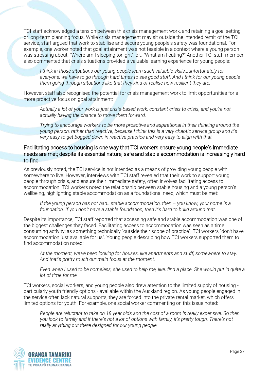TCI staff acknowledged a tension between this crisis management work, and retaining a goal setting or long-term planning focus. While crisis management may sit outside the intended remit of the TCI service, staff argued that work to stabilise and secure young people's safety was foundational. For example, one worker noted that goal attainment was not feasible in a context where a young person was stressing about: "Where am I sleeping tonight", or..."What am I eating?" Another TCI staff member also commented that crisis situations provided a valuable learning experience for young people:

*I think in those situations our young people learn such valuable skills...unfortunately for everyone, we have to go through hard times to see good stuff. And I think for our young people them going through situations like that they kind of realise how resilient they are.*

However, staff also recognised the potential for crisis management work to limit opportunities for a more proactive focus on goal attainment:

*Actually a lot of your work is just crisis-based work, constant crisis to crisis, and you're not actually having the chance to move them forward.* 

*Trying to encourage workers to be more proactive and aspirational in their thinking around the young person, rather than reactive, because I think this is a very chaotic service group and it's very easy to get bogged down in reactive practice and very easy to align with that.*

#### Facilitating access to housing is one way that TCI workers ensure young people's immediate needs are met; despite its essential nature, safe and stable accommodation is increasingly hard to find

As previously noted, the TCI service is not intended as a means of providing young people with somewhere to live. However, interviews with TCI staff revealed that their work to support young people through crisis, and ensure their immediate safety, often involves facilitating access to accommodation. TCI workers noted the relationship between stable housing and a young person's wellbeing, highlighting stable accommodation as a foundational need, which must be met:

*If the young person has not had...stable accommodation, then - you know, your home is a foundation. If you don't have a stable foundation, then it's hard to build around that.* 

Despite its importance, TCI staff reported that accessing safe and stable accommodation was one of the biggest challenges they faced. Facilitating access to accommodation was seen as a time consuming activity; as something technically "outside their scope of practice", TCI workers "don't have accommodation just available for us". Young people describing how TCI workers supported them to find accommodation noted:

*At the moment, we've been looking for houses, like apartments and stuff, somewhere to stay. And that's pretty much our main focus at the moment.*

*Even when I used to be homeless, she used to help me, like, find a place. She would put in quite a lot of time for me.* 

TCI workers, social workers, and young people also drew attention to the limited supply of housing particularly youth friendly options - available within the Auckland region. As young people engaged in the service often lack natural supports, they are forced into the private rental market, which offers limited options for youth. For example, one social worker commenting on this issue noted:

*People are reluctant to take on 18 year olds and the cost of a room is really expensive. So then you look to family and if there's not a lot of options with family, it's pretty tough. There's not really anything out there designed for our young people.* 

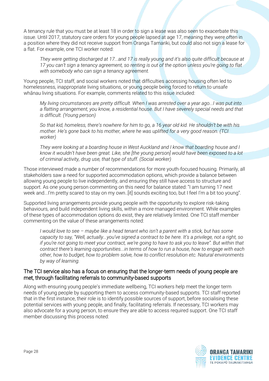A tenancy rule that you must be at least 18 in order to sign a lease was also seen to exacerbate this issue. Until 2017, statutory care orders for young people lapsed at age 17, meaning they were often in a position where they did not receive support from Oranga Tamariki, but could also not sign a lease for a flat. For example, one TCI worker noted:

*They were getting discharged at 17...and 17 is really young and it's also quite difficult because at 17 you can't sign a tenancy agreement, so renting is out of the option unless you're going to flat with somebody who can sign a tenancy agreement.* 

Young people, TCI staff, and social workers noted that difficulties accessing housing often led to homelessness, inappropriate living situations, or young people being forced to return to unsafe whānau living situations. For example, comments related to this issue included:

*My living circumstances are pretty difficult. When I was arrested over a year ago...I was put into a flatting arrangement, you know, a residential house. But I have severely special needs and that is difficult. (Young person)*

*So that kid, homeless, there's nowhere for him to go, a 16 year old kid. He shouldn't be with his mother. He's gone back to his mother, where he was uplifted for a very good reason. (TCI worker)*

*They were looking at a boarding house in West Auckland and I know that boarding house and I know it wouldn't have been great. Like, she [the young person] would have been exposed to a lot of criminal activity, drug use, that type of stuff. (Social worker)*

Those interviewed made a number of recommendations for more youth-focused housing. Primarily, all stakeholders saw a need for supported accommodation options, which provide a balance between allowing young people to live independently, and ensuring they still have access to structure and support. As one young person commenting on this need for balance stated: "I am turning 17 next week and...I'm pretty scared to stay on my own..[it] sounds exciting too, but I feel I'm a bit too young".

Supported living arrangements provide young people with the opportunity to explore risk-taking behaviours, and build independent living skills, within a more managed environment. While examples of these types of accommodation options do exist, they are relatively limited. One TCI staff member commenting on the value of these arrangements noted:

*I would love to see – maybe like a head tenant who isn't a parent with a stick, but has some capacity to say, "Well, actually...you've signed a contract to be here. It's a privilege, not a right, so if you're not going to meet your contract, we're going to have to ask you to leave". But within that contract there's learning opportunities...in terms of how to run a house, how to engage with each other, how to budget, how to problem solve, how to conflict resolution etc. Natural environments by way of learning.*

#### The TCI service also has a focus on ensuring that the longer-term needs of young people are met, through facilitating referrals to community-based supports

Along with ensuring young people's immediate wellbeing, TCI workers help meet the longer term needs of young people by supporting them to access community-based supports. TCI staff reported that in the first instance, their role is to identify possible sources of support, before socialising these potential services with young people, and finally, facilitating referrals. If necessary, TCI workers may also advocate for a young person, to ensure they are able to access required support. One TCI staff member discussing this process noted:

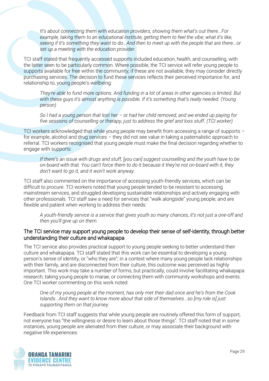*It's about connecting them with education providers, showing them what's out there...For example, taking them to an educational institute, getting them to feel the vibe; what it's like, seeing if it's something they want to do...And then to meet up with the people that are there...or set up a meeting with the education provider.*

TCI staff stated that frequently accessed supports included education, health, and counselling, with the latter seen to be particularly common. Where possible, the TCI service will refer young people to supports available for free within the community; if these are not available, they may consider directly purchasing services. The decision to fund these services reflects their perceived importance for, and relationship to, young people's wellbeing:

*They're able to fund more options. And funding in a lot of areas in other agencies is limited. But with these guys it's almost anything is possible. If it's something that's really needed. (Young person)*

*So I had a young person that lost her – or had her child removed, and we ended up paying for five sessions of counselling or therapy, just to address the grief and loss stuff. (TCI worker)*

TCI workers acknowledged that while young people may benefit from accessing a range of supports – for example, alcohol and drug services – they did not see value in taking a paternalistic approach to referral. TCI workers recognised that young people must make the final decision regarding whether to engage with supports:

*If there's an issue with drugs and stuff, [you can] suggest counselling and the youth have to be on-board with that. You can't force them to do it because it they're not on-board with it, they don't want to go it, and it won't work anyway.*

TCI staff also commented on the importance of accessing youth-friendly services, which can be difficult to procure. TCI workers noted that young people tended to be resistant to accessing mainstream services, and struggled developing sustainable relationships and actively engaging with other professionals. TCI staff saw a need for services that "walk alongside" young people, and are flexible and patient when working to address their needs:

*A youth-friendly service is a service that gives youth so many chances, it's not just a one-off and then you'll give up on them.*

#### The TCI service may support young people to develop their sense of self-identity, through better understanding their culture and whakapapa

The TCI service also provides practical support to young people seeking to better understand their culture and whakapapa. TCI staff stated that this work can be essential to developing a young person's sense of identity, or "who they are"; in a context where many young people lack relationships with their family, and are disconnected from their culture, this outcome was perceived as highly important. This work may take a number of forms, but practically, could involve facilitating whakapapa research, taking young people to marae, or connecting them with community workshops and events. One TCI worker commenting on this work noted:

*One of my young people at the moment, has only met their dad once and he's from the Cook Islands...And they want to know more about that side of themselves...so [my role is] just supporting them on that journey.*

Feedback from TCI staff suggests that while young people are routinely offered this form of support, not everyone has "the willingness or desire to learn about those things". TCI staff noted that in some instances, young people are alienated from their culture, or may associate their background with negative life experiences:

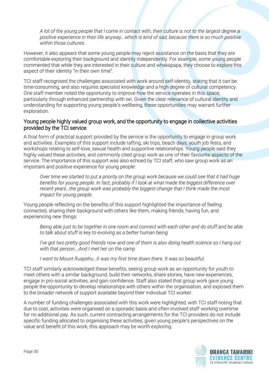*A lot of the young people that I come in contact with, their culture is not to the largest degree a positive experience in their life anyway...which is kind of sad, because there is so much positive within those cultures.* 

However, it also appears that some young people may reject assistance on the basis that they are comfortable exploring their background and identity independently. For example, some young people commented that while they are interested in their culture and whakapapa, they choose to explore this aspect of their identity "in their own time".

TCI staff recognised the challenges associated with work around self-identity, stating that it can be time-consuming, and also requires specialist knowledge and a high degree of cultural competency. One staff member noted the opportunity to improve how the service operates in this space, particularly through enhanced partnership with iwi. Given the clear relevance of cultural identity and understanding for supporting young people's wellbeing, these opportunities may warrant further exploration.

#### Young people highly valued group work, and the opportunity to engage in collective activities provided by the TCI service

A final form of practical support provided by the service is the opportunity to engage in group work and activities. Examples of this support include rafting, ski trips, beach days, youth job fests, and workshops relating to self-love, sexual health and supportive relationships. Young people said they highly valued these activities, and commonly cited group work as one of their favourite aspects of the service. The importance of this support was also echoed by TCI staff, who saw group work as an important and positive experience for young people:

*Over time we started to put a priority on the group work because we could see that it had huge benefits for young people. In fact, probably if I look at what made the biggest difference over recent years…the group work was probably the biggest change that I think made the most impact for young people.*

Young people reflecting on the benefits of this support highlighted the importance of feeling connected, sharing their background with others like them, making friends, having fun, and experiencing new things:

*Being able just to be together in one room and connect with each other and do stuff and be able to talk about stuff is key to evolving as a better human being.* 

*I've got two pretty good friends now and one of them is also doing health science so I hang out with that person….And I met her on the camp*

*I went to Mount Ruapehu…it was my first time down there. It was so beautiful.* 

TCI staff similarly acknowledged these benefits, seeing group work as an opportunity for youth to meet others with a similar background, build their networks, share stories, have new experiences, engage in pro-social activities, and gain confidence. Staff also stated that group work gave young people the opportunity to develop relationships with others within the organisation, and exposed them to the broader network of support available beyond their individual TCI worker.

A number of funding challenges associated with this work were highlighted, with TCI staff noting that due to cost, activities were organised on a sporadic basis and often involved staff working overtime for no additional pay. As such, current contracting arrangements for the TCI providers do not include specific funding allocated to organising these activities; given young people's perspectives on the value and benefit of this work, this approach may be worth exploring.

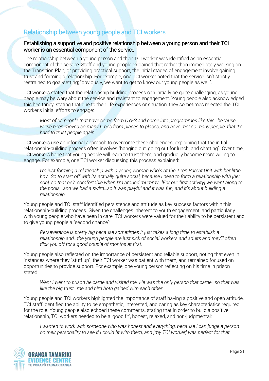#### <span id="page-30-0"></span>Relationship between young people and TCI workers

#### Establishing a supportive and positive relationship between a young person and their TCI worker is an essential component of the service

The relationship between a young person and their TCI worker was identified as an essential component of the service. Staff and young people explained that rather than immediately working on the Transition Plan, or providing practical support, the initial stages of engagement involve gaining trust and forming a relationship. For example, one TCI worker noted that the service isn't strictly restrained to goal-setting; "obviously, we want to get to know our young people as well".

TCI workers stated that the relationship building process can initially be quite challenging, as young people may be wary about the service and resistant to engagement. Young people also acknowledged this hesitancy, stating that due to their life experiences or situation, they sometimes rejected the TCI worker's initial efforts to engage:

*Most of us people that have come from CYFS and come into programmes like this…because we've been moved so many times from places to places, and have met so many people, that it's hard to trust people again.* 

TCI workers use an informal approach to overcome these challenges, explaining that the initial relationship-building process often involves "hanging out, going out for lunch, and chatting". Over time, TCI workers hope that young people will learn to trust them, and gradually become more willing to engage. For example, one TCI worker discussing this process explained:

*I'm just forming a relationship with a young woman who's at the Teen Parent Unit with her little boy…So to start off with its actually quite social, because I need to form a relationship with [her son], so that he's comfortable when I'm around mummy…[For our first activity] we went along to the pools...and we had a swim…so it was playful and it was fun, and it's about building a relationship.* 

Young people and TCI staff identified persistence and attitude as key success factors within this relationship-building process. Given the challenges inherent to youth engagement, and particularly with young people who have been in care, TCI workers were valued for their ability to be persistent and to give young people a "second chance":

*Perseverance is pretty big because sometimes it just takes a long time to establish a relationship and…the young people are just sick of social workers and adults and they'll often flick you off for a good couple of months at first.* 

Young people also reflected on the importance of persistent and reliable support, noting that even in instances where they "stuff up", their TCI worker was patient with them, and remained focused on opportunities to provide support. For example, one young person reflecting on his time in prison stated:

*Went I went to prison he came and visited me. He was the only person that came…so that was like the big trust…me and him both gained with each other.* 

Young people and TCI workers highlighted the importance of staff having a positive and open attitude. TCI staff identified the ability to be empathetic, interested, and caring as key characteristics required for the role. Young people also echoed these comments, stating that in order to build a positive relationship, TCI workers needed to be a 'good fit', honest, relaxed, and non-judgmental:

*I wanted to work with someone who was honest and everything, because I can judge a person on their personality to see if I could fit with them, and [my TCI worker] was perfect for that.* 

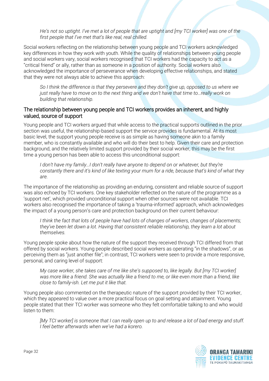*He's not so uptight. I've met a lot of people that are uptight and [my TCI worker] was one of the first people that I've met that's like real, real chilled.* 

Social workers reflecting on the relationship between young people and TCI workers acknowledged key differences in how they work with youth. While the quality of relationships between young people and social workers vary, social workers recognised that TCI workers had the capacity to act as a "critical friend" or ally, rather than as someone in a position of authority. Social workers also acknowledged the importance of perseverance when developing effective relationships, and stated that they were not always able to achieve this approach:

*So I think the difference is that they persevere and they don't give up, opposed to us where we just really have to move on to the next thing and we don't have that time to…really work on building that relationship.* 

#### The relationship between young people and TCI workers provides an inherent, and highly valued, source of support

Young people and TCI workers argued that while access to the practical supports outlined in the prior section was useful, the relationship-based support the service provides is fundamental. At its most basic level, the support young people receive is as simple as having someone akin to a family member, who is constantly available and who will do their best to help. Given their care and protection background, and the relatively limited support provided by their social worker, this may be the first time a young person has been able to access this unconditional support:

*I don't have my family…I don't really have anyone to depend on or whatever, but they're constantly there and it's kind of like texting your mum for a ride, because that's kind of what they are.* 

The importance of the relationship as providing an enduring, consistent and reliable source of support was also echoed by TCI workers. One key stakeholder reflected on the nature of the programme as a 'support net', which provided unconditional support when other sources were not available. TCI workers also recognised the importance of taking a 'trauma-informed' approach, which acknowledges the impact of a young person's care and protection background on their current behaviour:

*I think the fact that lots of people have had lots of changes of workers, changes of placements; they've been let down a lot. Having that consistent reliable relationship, they learn a lot about themselves.* 

Young people spoke about how the nature of the support they received through TCI differed from that offered by social workers. Young people described social workers as operating "in the shadows", or as perceiving them as "just another file"; in contrast, TCI workers were seen to provide a more responsive, personal, and caring level of support:

*My case worker, she takes care of me like she's supposed to, like legally. But [my TCI worker] was more like a friend. She was actually like a friend to me, or like even more than a friend, like close to family-ish. Let me put it like that.* 

Young people also commented on the therapeutic nature of the support provided by their TCI worker, which they appeared to value over a more practical focus on goal setting and attainment. Young people stated that their TCI worker was someone who they felt comfortable talking to and who would listen to them:

*[My TCI worker] is someone that I can really open up to and release a lot of bad energy and stuff. I feel better afterwards when we've had a korero.* 

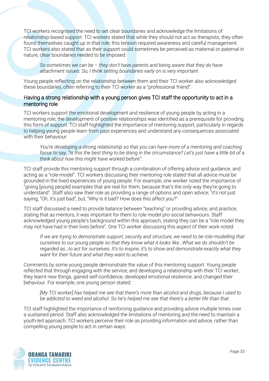TCI workers recognised the need to set clear boundaries and acknowledge the limitations of relationship-based support. TCI workers stated that while they should not act as therapists, they often found themselves caught up in that role; this tension required awareness and careful management. TCI workers also stated that as their support could sometimes be perceived as maternal or paternal in nature, clear boundaries needed to be imposed:

*So sometimes we can be – they don't have parents and being aware that they do have attachment issues. So, I think setting boundaries early on is very important.* 

Young people reflecting on the relationship between them and their TCI worker also acknowledged these boundaries, often referring to their TCI worker as a "professional friend".

#### Having a strong relationship with a young person gives TCI staff the opportunity to act in a mentoring role

TCI workers support the emotional development and resilience of young people by acting in a mentoring role; the development of positive relationships was identified as a prerequisite for providing this form of support. TCI staff highlighted the importance of mentoring support, particularly in regards to helping young people learn from past experiences and understand any consequences associated with their behaviour:

*You're developing a strong relationship so that you can have more of a mentoring and coaching focus to say, "Is this the best thing to be doing in the circumstance? Let's just have a little bit of a think about how this might have worked before".* 

TCI staff provide this mentoring support through a combination of offering advice and guidance, and acting as a "role-model". TCI workers discussing their mentoring role stated that all advice must be grounded in the lived experiences of young people. For example, one worker noted the importance of "giving [young people] examples that are real for them, because that's the only way they're going to understand". Staff also saw their role as providing a range of options and open advice; "it's not just saying, "Oh, it's just bad", but, "Why is it bad? How does this affect you?"

TCI staff discussed a need to provide balance between "teaching" or providing advice, and practice, stating that as mentors, it was important for them to role model pro-social behaviours. Staff acknowledged young people's background within this approach, stating they can be a "role model they may not have had in their lives before". One TCI worker discussing this aspect of their work noted:

*If we are trying to demonstrate support, security and structure, we need to be role-modelling that ourselves to our young people so that they know what it looks like…What we do shouldn't be regarded as…to act for ourselves. It's to inspire, it's to show and demonstrate exactly what they want for their future and what they want to achieve.* 

Comments by some young people demonstrate the value of this mentoring support. Young people reflected that through engaging with the service, and developing a relationship with their TCI worker, they learnt new things, gained self-confidence, developed emotional resilience, and changed their behaviour. For example, one young person stated:

*[My TCI worker] has helped me see that there's more than alcohol and drugs, because I used to be addicted to weed and alcohol. So he's helped me see that there's a better life than that.* 

TCI staff highlighted the importance of reinforcing guidance and providing advice multiple times over a sustained period. Staff also acknowledged the limitations of mentoring and the need to maintain a youth-led approach; TCI workers perceive their role as providing information and advice, rather than compelling young people to act in certain ways:

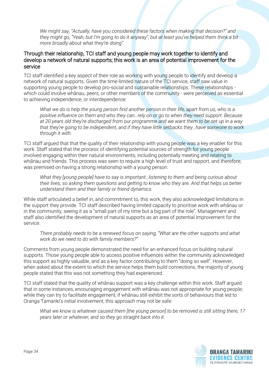*We might say, "Actually, have you considered these factors when making that decision?" and they might go, "Yeah, but I'm going to do it anyway", but at least you've helped them think a bit more broadly about what they're doing".*

#### Through their relationship, TCI staff and young people may work together to identify and develop a network of natural supports; this work is an area of potential improvement for the service

TCI staff identified a key aspect of their role as working with young people to identify and develop a network of natural supports. Given the time-limited nature of the TCI service, staff saw value in supporting young people to develop pro-social and sustainable relationships. These relationships which could involve whānau, peers, or other members of the community - were perceived as essential to achieving independence, or interdependence:

*What we do is help the young person find another person in their life, apart from us, who is a positive influence on them and who they can…rely on or go to when they need support. Because*  at 20 years old they're discharged from our programme and we want them to be set up in a way *that they're going to be independent, and if they have little setbacks they…have someone to work through it with.* 

TCI staff argued that that the quality of their relationship with young people was a key enabler for this work. Staff stated that the process of identifying potential sources of strength for young people involved engaging within their natural environments, including potentially meeting and relating to whānau and friends. This process was seen to require a high level of trust and rapport, and therefore, was premised on having a strong relationship with a young person:

*What they [young people] have to say is important…listening to them and being curious about their lives, so asking them questions and getting to know who they are. And that helps us better understand them and their family or friend dynamics.* 

While staff articulated a belief in, and commitment to, this work, they also acknowledged limitations in the support they provide. TCI staff described having limited capacity to prioritise work with whānau or in the community, seeing it as a "small part of my time but a big part of the role". Management and staff also identified the development of natural supports as an area of potential improvement for the service:

*There probably needs to be a renewed focus on saying, "What are the other supports and what work do we need to do with family members?"*

Comments from young people demonstrated the need for an enhanced focus on building natural supports. Those young people able to access positive influences within the community acknowledged this support as highly valuable, and as a key factor contributing to them "doing so well". However, when asked about the extent to which the service helps them build connections, the majority of young people stated that this was not something they had experienced.

TCI staff stated that the quality of whānau support was a key challenge within this work. Staff argued that in some instances, encouraging engagement with whānau was not appropriate for young people; while they can try to facilitate engagement, if whānau still exhibit the sorts of behaviours that led to Oranga Tamariki's initial involvement, this approach may not be safe:

*What we know is whatever caused them [the young person] to be removed is still sitting there, 17 years later or whatever, and so they go straight back into it.* 

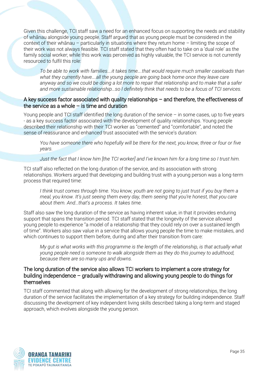Given this challenge, TCI staff saw a need for an enhanced focus on supporting the needs and stability of whānau alongside young people. Staff argued that as young people must be considered in the context of their whānau – particularly in situations where they return home – limiting the scope of their work was not always feasible. TCI staff stated that they often had to take on a 'dual role' as the family social worker; while this work was perceived as highly valuable, the TCI service is not currently resourced to fulfil this role:

*To be able to work with families….it takes time….that would require much smaller caseloads than what they currently have….all the young people are going back home once they leave care anyway and so we could be doing a lot more to repair that relationship and to make that a safer and more sustainable relationship…so I definitely think that needs to be a focus of TCI services.* 

#### A key success factor associated with quality relationships – and therefore, the effectiveness of the service as a whole  $-$  is time and duration

Young people and TCI staff identified the long duration of the service – in some cases, up to five years - as a key success factor associated with the development of quality relationships. Young people described their relationship with their TCI worker as "cemented" and "comfortable", and noted the sense of reassurance and enhanced trust associated with the service's duration:

*You have someone there who hopefully will be there for the next, you know, three or four or five years.* 

*Just the fact that I know him [the TCI worker] and I've known him for a long time so I trust him.*

TCI staff also reflected on the long duration of the service, and its association with strong relationships. Workers argued that developing and building trust with a young person was a long-term process that required time:

*I think trust comes through time. You know, youth are not going to just trust if you buy them a meal, you know. It's just seeing them every day, them seeing that you're honest, that you care about them. And…that's a process. It takes time.* 

Staff also saw the long duration of the service as having inherent value, in that it provides enduring support that spans the transition period. TCI staff stated that the longevity of the service allowed young people to experience "a model of a relationship that they could rely on over a sustained length of time". Workers also saw value in a service that allows young people the time to make mistakes, and which continues to support them before, during and after their transition from care:

*My gut is what works with this programme is the length of the relationship, is that actually what young people need is someone to walk alongside them as they do this journey to adulthood, because there are so many ups and downs.* 

#### The long duration of the service also allows TCI workers to implement a core strategy for building independence – gradually withdrawing and allowing young people to do things for themselves

TCI staff commented that along with allowing for the development of strong relationships, the long duration of the service facilitates the implementation of a key strategy for building independence. Staff discussing the development of key independent living skills described taking a long-term and staged approach, which evolves alongside the young person.

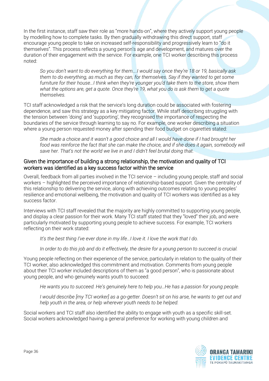In the first instance, staff saw their role as "more hands-on", where they actively support young people by modelling how to complete tasks. By then gradually withdrawing this direct support, staff encourage young people to take on increased self-responsibility and progressively learn to "do it themselves". This process reflects a young person's age and development, and matures over the duration of their engagement with the service. For example, one TCI worker describing this process noted:

*So you don't want to do everything for them….I would say once they're 18 or 19, basically ask them to do everything, as much as they can, for themselves. Say if they wanted to get some furniture for their house…I think when they're younger you'd take them to the store, show them what the options are, get a quote. Once they're 19, what you do is ask them to get a quote themselves.* 

TCI staff acknowledged a risk that the service's long duration could be associated with fostering dependence, and saw this strategy as a key mitigating factor. While staff describing struggling with the tension between 'doing' and 'supporting', they recognised the importance of respecting the boundaries of the service through learning to say no. For example, one worker describing a situation where a young person requested money after spending their food budget on cigarettes stated:

*She made a choice and it wasn't a good choice and all I would have done if I had brought her*  food was reinforce the fact that she can make the choice, and if she does it again, somebody will *save her. That's not the world we live in and I didn't feel brutal doing that.* 

#### Given the importance of building a strong relationship, the motivation and quality of TCI workers was identified as a key success factor within the service

Overall, feedback from all parties involved in the TCI service – including young people, staff and social workers – highlighted the perceived importance of relationship-based support. Given the centrality of this relationship to delivering the service, along with achieving outcomes relating to young peoples' resilience and emotional wellbeing, the motivation and quality of TCI workers was identified as a key success factor.

Interviews with TCI staff revealed that the majority are highly committed to supporting young people, and display a clear passion for their work. Many TCI staff stated that they "loved" their job, and were particularly motivated by supporting young people to achieve success. For example, TCI workers reflecting on their work stated:

It's the best thing I've ever done in my life... I love it. I love the work that I do.

*In order to do this job and do it effectively, the desire for a young person to succeed is crucial.*

Young people reflecting on their experience of the service, particularly in relation to the quality of their TCI worker, also acknowledged this commitment and motivation. Comments from young people about their TCI worker included descriptions of them as "a good person", who is passionate about young people, and who genuinely wants youth to succeed:

*He wants you to succeed. He's genuinely here to help you…He has a passion for young people.* 

*I would describe [my TCI worker] as a go-getter. Doesn't sit on his arse, he wants to get out and help youth in the area, or help wherever youth needs to be helped.* 

Social workers and TCI staff also identified the ability to engage with youth as a specific skill-set. Social workers acknowledged having a general preference for working with young children and

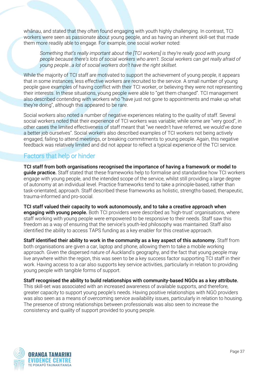whānau, and stated that they often found engaging with youth highly challenging. In contrast, TCI workers were seen as passionate about young people, and as having an inherent skill-set that made them more readily able to engage. For example, one social worker noted:

*Something that's really important about the [TCI workers] is they're really good with young people because there's lots of social workers who aren't. Social workers can get really afraid of young people…a lot of social workers don't have the right skillset.* 

While the majority of TCI staff are motivated to support the achievement of young people, it appears that in some instances, less effective workers are recruited to the service. A small number of young people gave examples of having conflict with their TCI worker, or believing they were not representing their interests. In these situations, young people were able to "get them changed". TCI management also described contending with workers who "have just not gone to appointments and make up what they're doing", although this appeared to be rare.

Social workers also noted a number of negative experiences relating to the quality of staff. Several social workers noted that their experience of TCI workers was variable; while some are "very good", in other cases the limited effectiveness of staff meant that "we needn't have referred, we would've done a better job ourselves". Social workers also described examples of TCI workers not being actively engaged, failing to attend meetings, or breaking commitments to young people. Again, this negative feedback was relatively limited and did not appear to reflect a typical experience of the TCI service.

#### <span id="page-36-0"></span>Factors that help or hinder

TCI staff from both organisations recognised the importance of having a framework or model to **guide practice.** Staff stated that these frameworks help to formalise and standardise how TCI workers engage with young people, and the intended scope of the service, whilst still providing a large degree of autonomy at an individual level. Practice frameworks tend to take a principle-based, rather than task-orientated, approach. Staff described these frameworks as holistic, strengths-based, therapeutic, trauma-informed and pro-social.

TCI staff valued their capacity to work autonomously, and to take a creative approach when **engaging with young people.** Both TCI providers were described as 'high-trust' organisations, where staff working with young people were empowered to be responsive to their needs. Staff saw this freedom as a way of ensuring that the service's youth-led philosophy was maintained. Staff also identified the ability to access TAPS funding as a key enabler for this creative approach.

Staff identified their ability to work in the community as a key aspect of this autonomy. Staff from both organisations are given a car, laptop and phone, allowing them to take a mobile working approach. Given the dispersed nature of Auckland's geography, and the fact that young people may live anywhere within the region, this was seen to be a key success factor supporting TCI staff in their work. Having access to a car also supports key service activities, particularly in relation to providing young people with tangible forms of support.

#### Staff recognised the ability to build relationships with community-based NGOs as a key attribute.

This skill-set was associated with an increased awareness of available supports, and therefore, greater capacity to support young people's needs. Having positive relationships with NGO providers was also seen as a means of overcoming service availability issues, particularly in relation to housing. The presence of strong relationships between professionals was also seen to increase the consistency and quality of support provided to young people.

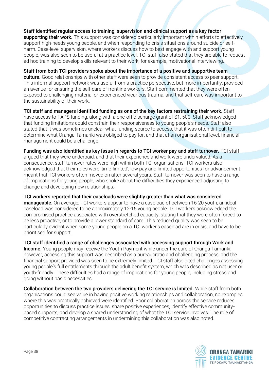Staff identified regular access to training, supervision and clinical support as a key factor supporting their work. This support was considered particularly important within efforts to effectively support high-needs young people, and when responding to crisis situations around suicide or selfharm. Case-level supervision, where workers discuss how to best engage with and support young people, was also seen to be useful at a practice level. TCI staff also stated that they are able to request ad hoc training to develop skills relevant to their work, for example, motivational interviewing.

Staff from both TCI providers spoke about the importance of a positive and supportive team culture. Good relationships with other staff were seen to provide consistent access to peer support. This informal support network was useful from a practice perspective, but more importantly, provided an avenue for ensuring the self-care of frontline workers. Staff commented that they were often exposed to challenging material or experienced vicarious trauma, and that self-care was important to the sustainability of their work.

TCI staff and managers identified funding as one of the key factors restraining their work. Staff have access to TAPS funding, along with a one-off discharge grant of S1, 500. Staff acknowledged that funding limitations could constrain their responsiveness to young people's needs. Staff also stated that it was sometimes unclear what funding source to access, that it was often difficult to determine what Oranga Tamariki was obliged to pay for, and that at an organisational level, financial management could be a challenge.

Funding was also identified as key issue in regards to TCI worker pay and staff turnover. TCI staff argued that they were underpaid, and that their experience and work were undervalued. As a consequence, staff turnover rates were high within both TCI organisations. TCI workers also acknowledged that their roles were 'time-limited'; low pay and limited opportunities for advancement meant that TCI workers often moved on after several years. Staff turnover was seen to have a range of implications for young people, who spoke about the difficulties they experienced adjusting to change and developing new relationships.

TCI workers reported that their caseloads were slightly greater than what was considered **manageable.** On average, TCI workers appear to have a caseload of between 16-20 youth; an ideal caseload was considered to be approximately 12-15 young people. TCI workers acknowledged the compromised practice associated with overstretched capacity, stating that they were often forced to be less proactive, or to provide a lower standard of care. This reduced quality was seen to be particularly evident when some young people on a TCI worker's caseload are in crisis, and have to be prioritised for support.

TCI staff identified a range of challenges associated with accessing support through Work and **Income.** Young people may receive the Youth Payment while under the care of Oranga Tamariki; however, accessing this support was described as a bureaucratic and challenging process, and the financial support provided was seen to be extremely limited. TCI staff also cited challenges assessing young people's full entitlements through the adult benefit system, which was described as not user or youth-friendly. These difficulties had a range of implications for young people, including stress and going without basic necessities.

Collaboration between the two providers delivering the TCI service is limited. While staff from both organisations could see value in having positive working relationships and collaboration, no examples where this was practically achieved were identified. Poor collaboration across the service reduces opportunities to discuss practice issues, share positive experiences, identify effective communitybased supports, and develop a shared understanding of what the TCI service involves. The role of competitive contracting arrangements in undermining this collaboration was also noted.

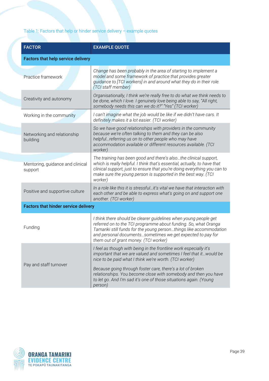#### Table 1: Factors that help or hinder service delivery – example quotes

| <b>FACTOR</b>                               | <b>EXAMPLE QUOTE</b>                                                                                                                                                                                                                                                                                             |  |  |  |  |
|---------------------------------------------|------------------------------------------------------------------------------------------------------------------------------------------------------------------------------------------------------------------------------------------------------------------------------------------------------------------|--|--|--|--|
| <b>Factors that help service delivery</b>   |                                                                                                                                                                                                                                                                                                                  |  |  |  |  |
| Practice framework                          | Change has been probably in the area of starting to implement a<br>model and some framework of practice that provides greater<br>guidance to [TCI workers] in and around what they do in their role.<br>(TCI staff member)                                                                                       |  |  |  |  |
| Creativity and autonomy                     | Organisationally, I think we're really free to do what we think needs to<br>be done, which I love. I genuinely love being able to say, "All right,<br>somebody needs this can we do it?" "Yes" (TCI worker)                                                                                                      |  |  |  |  |
| Working in the community                    | I can't imagine what the job would be like if we didn't have cars. It<br>definitely makes it a lot easier. (TCI worker)                                                                                                                                                                                          |  |  |  |  |
| Networking and relationship<br>building     | So we have good relationships with providers in the community<br>because we're often talking to them and they can be also<br>helpful referring us on to other people who may have<br>accommodation available or different resources available. (TCI<br>worker)                                                   |  |  |  |  |
| Mentoring, guidance and clinical<br>support | The training has been good and there's also the clinical support,<br>which is really helpful. I think that's essential, actually, to have that<br>clinical support, just to ensure that you're doing everything you can to<br>make sure the young person is supported in the best way. (TCI<br>worker)           |  |  |  |  |
| Positive and supportive culture             | In a role like this it is stressfulit's vital we have that interaction with<br>each other and be able to express what's going on and support one<br>another. (TCI worker)                                                                                                                                        |  |  |  |  |
| <b>Factors that hinder service delivery</b> |                                                                                                                                                                                                                                                                                                                  |  |  |  |  |
| Funding                                     | I think there should be clearer guidelines when young people get<br>referred on to the TCI programme about funding. So, what Oranga<br>Tamariki still funds for the young personthings like accommodation<br>and personal documentssometimes we get expected to pay for<br>them out of grant money. (TCI worker) |  |  |  |  |
|                                             | I feel as though with being in the frontline work especially it's<br>important that we are valued and sometimes I feel that it would be<br>nice to be paid what I think we're worth. (TCI worker)                                                                                                                |  |  |  |  |
| Pay and staff turnover                      | Because going through foster care, there's a lot of broken<br>relationships. You become close with somebody and then you have<br>to let go. And I'm sad it's one of those situations again. (Young<br>person)                                                                                                    |  |  |  |  |

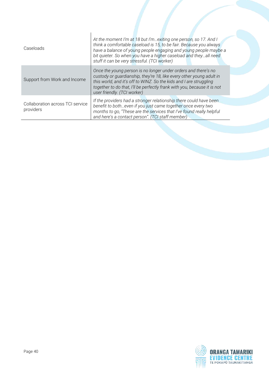| Caseloads                                     | At the moment I'm at 18 but I'm exiting one person, so 17. And I<br>think a comfortable caseload is 15, to be fair. Because you always<br>have a balance of young people engaging and young people maybe a<br>bit quieter. So when you have a higher caseload and theyall need<br>stuff it can be very stressful. (TCI worker) |  |  |
|-----------------------------------------------|--------------------------------------------------------------------------------------------------------------------------------------------------------------------------------------------------------------------------------------------------------------------------------------------------------------------------------|--|--|
| Support from Work and Income                  | Once the young person is no longer under orders and there's no<br>custody or guardianship, they're 18, like every other young adult in<br>this world, and it's off to WINZ. So the kids and I are struggling<br>together to do that, I'll be perfectly frank with you, because it is not<br>user friendly. (TCI worker)        |  |  |
| Collaboration across TCI service<br>providers | If the providers had a stronger relationship there could have been<br>benefit to botheven if you just came together once every two<br>months to go, "These are the services that I've found really helpful<br>and here's a contact person". (TCI staff member)                                                                 |  |  |

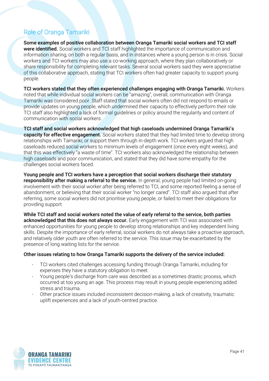### <span id="page-40-0"></span>Role of Oranga Tamariki

Some examples of positive collaboration between Oranga Tamariki social workers and TCI staff were identified. Social workers and TCI staff highlighted the importance of communication and information sharing, on both a regular basis, and in instances where a young person is in crisis. Social workers and TCI workers may also use a co-working approach, where they plan collaboratively or share responsibility for completing relevant tasks. Several social workers said they were appreciative of this collaborative approach, stating that TCI workers often had greater capacity to support young people.

TCI workers stated that they often experienced challenges engaging with Oranga Tamariki. Workers noted that while individual social workers can be "amazing", overall, communication with Oranga Tamariki was considered poor. Staff stated that social workers often did not respond to emails or provide updates on young people, which undermined their capacity to effectively perform their role. TCI staff also highlighted a lack of formal guidelines or policy around the regularity and content of communication with social workers.

TCI staff and social workers acknowledged that high caseloads undermined Oranga Tamariki's capacity for effective engagement. Social workers stated that they had limited time to develop strong relationships with Tamariki, or support them through in-depth work. TCI workers argued that high caseloads reduced social workers to minimum levels of engagement (once every eight weeks), and that this was effectively "a waste of time". TCI workers also acknowledged the relationship between high caseloads and poor communication, and stated that they did have some empathy for the challenges social workers faced.

Young people and TCI workers have a perception that social workers discharge their statutory responsibility after making a referral to the service. In general, young people had limited on-going involvement with their social worker after being referred to TCI, and some reported feeling a sense of abandonment, or believing that their social worker "no longer cared". TCI staff also argued that after referring, some social workers did not prioritise young people, or failed to meet their obligations for providing support.

While TCI staff and social workers noted the value of early referral to the service, both parties acknowledged that this does not always occur. Early engagement with TCI was associated with enhanced opportunities for young people to develop strong relationships and key independent living skills. Despite the importance of early referral, social workers do not always take a proactive approach, and relatively older youth are often referred to the service. This issue may be exacerbated by the presence of long waiting lists for the service.

#### Other issues relating to how Oranga Tamariki supports the delivery of the service included:

- TCI workers cited challenges accessing funding through Oranga Tamariki, including for expenses they have a statutory obligation to meet.
- Young people's discharge from care was described as a sometimes drastic process, which occurred at too young an age. This process may result in young people experiencing added stress and trauma.
- Other practice issues included inconsistent decision-making, a lack of creativity, traumatic uplift experiences and a lack of youth-centred practice.

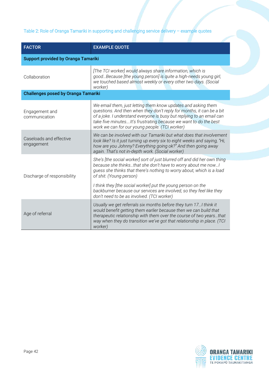#### Table 2: Role of Oranga Tamariki in supporting and challenging service delivery – example quotes

| <b>FACTOR</b>                              | <b>EXAMPLE QUOTE</b>                                                                                                                                                                                                                                                                                                                   |  |  |  |  |
|--------------------------------------------|----------------------------------------------------------------------------------------------------------------------------------------------------------------------------------------------------------------------------------------------------------------------------------------------------------------------------------------|--|--|--|--|
| <b>Support provided by Oranga Tamariki</b> |                                                                                                                                                                                                                                                                                                                                        |  |  |  |  |
| Collaboration                              | [The TCI worker] would always share information, which is<br>goodBecause [the young person] is quite a high-needs young girl,<br>we touched based almost weekly or every other two days. (Social<br>worker)                                                                                                                            |  |  |  |  |
| <b>Challenges posed by Oranga Tamariki</b> |                                                                                                                                                                                                                                                                                                                                        |  |  |  |  |
| Engagement and<br>communication            | We email them, just letting them know updates and asking them<br>questions. And then when they don't reply for months, it can be a bit<br>of a joke. I understand everyone is busy but replying to an email can<br>take five minutes It's frustrating because we want to do the best<br>work we can for our young people. (TCI worker) |  |  |  |  |
| Caseloads and effective<br>engagement      | We can be involved with our Tamariki but what does that involvement<br>look like? Is it just turning up every six to eight weeks and saying, "Hi,<br>how are you Johnny? Everything going ok?" And then going away<br>again. That's not in-depth work. (Social worker)                                                                 |  |  |  |  |
| Discharge of responsibility                | She's [the social worker] sort of just blurred off and did her own thing<br>because she thinksthat she don't have to worry about me now!<br>guess she thinks that there's nothing to worry about, which is a load<br>of shit. (Young person)                                                                                           |  |  |  |  |
|                                            | I think they [the social worker] put the young person on the<br>backburner because our services are involved, so they feel like they<br>don't need to be as involved. (TCI worker)                                                                                                                                                     |  |  |  |  |
| Age of referral                            | Usually we get referrals six months before they turn 17 I think it<br>would benefit getting them earlier because then we can build that<br>therapeutic relationship with them over the course of two yearsthat<br>way when they do transition we've got that relationship in place. (TCI<br>worker)                                    |  |  |  |  |

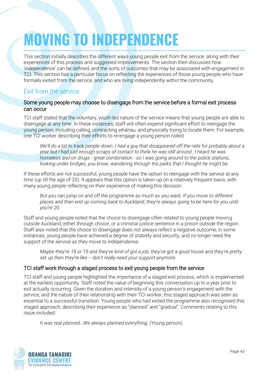## <span id="page-42-0"></span>**MOVING TO INDEPENDENCE**

This section initially describes the different ways young people exit from the service, along with their experiences of this process and suggested improvements. The section then discusses how 'independence' can be defined, and the sorts of outcomes that may be associated with engagement in TCI. This section has a particular focus on reflecting the experiences of those young people who have formally exited from the service, and who are living independently within the community.

### <span id="page-42-1"></span>Exit from the service

#### Some young people may choose to disengage from the service before a formal exit process can occur

TCI staff stated that the voluntary, youth-led nature of the service means that young people are able to disengage at any time. In these instances, staff will often expend significant effort to reengage the young person, including calling, contracting whānau, and physically trying to locate them. For example, one TCI worker describing their efforts to re-engage a young person noted:

*We'll do a lot to track people down. I had a guy that disappeared off the rails for probably about a year but I had just enough scraps of contact to think he was still around…I heard he was homeless and on drugs - great combination - so I was going around to the police stations, looking under bridges, you know, wandering through the parks that I thought he might be.*

If these efforts are not successful, young people have the option to reengage with the service at any time (up till the age of 20). It appears that this option is taken-up on a relatively frequent basis, with many young people reflecting on their experience of making this decision:

*But you can jump on and off the programme as much as you want. If you move to different places and then end up coming back to Auckland, they're always going to be here for you until you're 20.* 

Staff and young people noted that the choice to disengage often related to young people moving outside Auckland, either through choice, or a criminal justice sentence in a prison outside the region. Staff also noted that the choice to disengage does not always reflect a negative outcome; in some instances, young people have achieved a degree of stability and security, and no longer need the support of the service as they move to independence:

*Maybe they're 18 or 19 and they've kind of got a job, they've got a good house and they're pretty set up then they're like -- don't really need your support anymore.*

#### TCI staff work through a staged process to exit young people from the service

TCI staff and young people highlighted the importance of a staged exit process, which is implemented at the earliest opportunity. Staff noted the value of beginning this conversation up to a year prior to exit actually occurring. Given the duration and intensity of a young person's engagement with the service, and the nature of their relationship with their TCI worker, this staged approach was seen as essential to a successful transition. Young people who had exited the programme also recognised this staged approach, describing their experience as "planned" and "gradual". Comments relating to this issue included:

*It was real planned…We always planned everything. (Young person)*

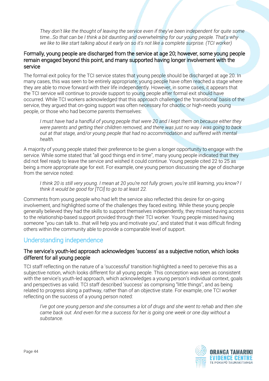*They don't like the thought of leaving the service even if they've been independent for quite some time…So that can be I think a bit daunting and overwhelming for our young people. That's why we like to like start talking about it early on so it's not like a complete surprise. (TCI worker)*

#### Formally, young people are discharged from the service at age 20; however, some young people remain engaged beyond this point, and many supported having longer involvement with the service

The formal exit policy for the TCI service states that young people should be discharged at age 20. In many cases, this was seen to be entirely appropriate; young people have often reached a stage where they are able to move forward with their life independently. However, in some cases, it appears that the TCI service will continue to provide support to young people after formal exit should have occurred. While TCI workers acknowledged that this approach challenged the 'transitional' basis of the service, they argued that on-going support was often necessary for chaotic or high-needs young people, or those who had become parents themselves:

*I must have had a handful of young people that were 20 and I kept them on because either they were parents and getting their children removed, and there was just no way I was going to back out at that stage, and/or young people that had no accommodation and suffered with mental health.*

A majority of young people stated their preference to be given a longer opportunity to engage with the service. While some stated that "all good things end in time", many young people indicated that they did not feel ready to leave the service and wished it could continue. Young people cited 22 to 25 as being a more appropriate age for exit. For example, one young person discussing the age of discharge from the service noted:

*I think 20 is still very young. I mean at 20 you're not fully grown, you're still learning, you know? I think it would be good for [TCI] to go to at least 22.*

Comments from young people who had left the service also reflected this desire for on-going involvement, and highlighted some of the challenges they faced exiting. While these young people generally believed they had the skills to support themselves independently, they missed having access to the relationship-based support provided through their TCI worker. Young people missed having someone "you can talk to...that will help you and motivate you", and stated that it was difficult finding others within the community able to provide a comparable level of support.

#### <span id="page-43-0"></span>Understanding independence

#### The service's youth-led approach acknowledges 'success' as a subjective notion, which looks different for all young people

TCI staff reflecting on the nature of a 'successful' transition highlighted a need to perceive this as a subjective notion, which looks different for all young people. This conception was seen as consistent with the service's youth-led approach, which acknowledges a young person's individual context, goals and perspectives as valid. TCI staff described 'success' as comprising "little things", and as being related to progress along a pathway, rather than of an objective state. For example, one TCI worker reflecting on the success of a young person noted:

*I've got one young person and she consumes a lot of drugs and she went to rehab and then she came back out. And even for me a success for her is going one week or one day without a substance.* 

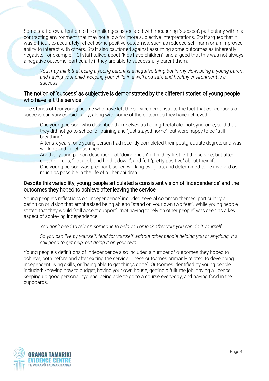Some staff drew attention to the challenges associated with measuring 'success', particularly within a contracting environment that may not allow for more subjective interpretations. Staff argued that it was difficult to accurately reflect some positive outcomes, such as reduced self-harm or an improved ability to interact with others. Staff also cautioned against assuming some outcomes as inherently negative. For example, TCI staff talked about "kids have children", and argued that this was not always a negative outcome, particularly if they are able to successfully parent them:

*You may think that being a young parent is a negative thing but in my view, being a young parent and having your child, keeping your child in a well and safe and healthy environment is a success.* 

#### The notion of 'success' as subjective is demonstrated by the different stories of young people who have left the service

The stories of four young people who have left the service demonstrate the fact that conceptions of success can vary considerably, along with some of the outcomes they have achieved:

- One young person, who described themselves as having foetal alcohol syndrome, said that they did not go to school or training and "just stayed home", but were happy to be "still breathing".
- After six years, one young person had recently completed their postgraduate degree, and was working in their chosen field.
- Another young person described not "doing much" after they first left the service, but after quitting drugs, "got a job and held it down", and felt "pretty positive" about their life.
- One young person was pregnant, sober, working two jobs, and determined to be involved as much as possible in the life of all her children.

#### Despite this variability, young people articulated a consistent vision of 'independence' and the outcomes they hoped to achieve after leaving the service

Young people's reflections on 'independence' included several common themes, particularly a definition or vision that emphasised being able to "stand on your own two feet". While young people stated that they would "still accept support", "not having to rely on other people" was seen as a key aspect of achieving independence:

*You don't need to rely on someone to help you or look after you; you can do it yourself.* 

*So you can live by yourself, fend for yourself without other people helping you or anything. It's still good to get help, but doing it on your own.* 

Young people's definitions of independence also included a number of outcomes they hoped to achieve, both before and after exiting the service. These outcomes primarily related to developing independent living skills, or "being able to get things done". Outcomes identified by young people included: knowing how to budget, having your own house, getting a fulltime job, having a licence, keeping up good personal hygiene, being able to go to a course every-day, and having food in the cupboards.

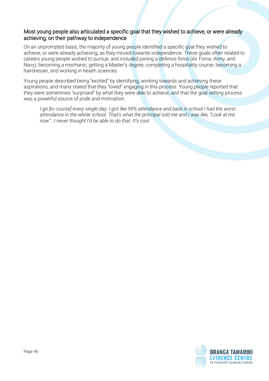#### Most young people also articulated a specific goal that they wished to achieve, or were already achieving, on their pathway to independence

On an unprompted basis, the majority of young people identified a specific goal they wished to achieve, or were already achieving, as they moved towards independence. These goals often related to careers young people wished to pursue, and included joining a defence force (Air Force, Army, and Navy), becoming a mechanic, getting a Master's degree, completing a hospitality course, becoming a hairdresser, and working in health sciences.

Young people described being "excited" by identifying, working towards and achieving these aspirations, and many stated that they "loved" engaging in this process. Young people reported that they were sometimes "surprised" by what they were able to achieve, and that the goal setting process was a powerful source of pride and motivation:

*I go [to course] every single day. I got like 99% attendance and back in school I had the worst attendance in the whole school. That's what the principal told me and I was like, "Look at me now"...I never thought I'd be able to do that. It's cool.* 

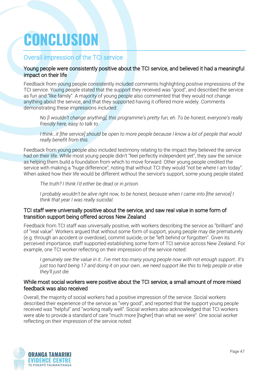## <span id="page-46-0"></span>**CONCLUSION**

#### <span id="page-46-1"></span>Overall impression of the TCI service

#### Young people were consistently positive about the TCI service, and believed it had a meaningful impact on their life

Feedback from young people consistently included comments highlighting positive impressions of the TCI service. Young people stated that the support they received was "good", and described the service as fun and "like family". A majority of young people also commented that they would not change anything about the service, and that they supported having it offered more widely. Comments demonstrating these impressions included:

*No [I wouldn't change anything], this programme's pretty fun, eh. To be honest, everyone's really friendly here, easy to talk to.* 

*I think…it [the service] should be open to more people because I know a lot of people that would really benefit from this.* 

Feedback from young people also included testimony relating to the impact they believed the service had on their life. While most young people didn't "feel perfectly independent yet", they saw the service as helping them build a foundation from which to move forward. Other young people credited the service with making a "huge difference", noting that without TCI they would "not be where I am today". When asked how their life would be different without the service's support, some young people stated:

*The truth? I think I'd either be dead or in prison.*

*I probably wouldn't be alive right now, to be honest, because when I came into [the service] I think that year I was really suicidal.* 

#### TCI staff were universally positive about the service, and saw real value in some form of transition support being offered across New Zealand

Feedback from TCI staff was universally positive, with workers describing the service as "brilliant" and of "real value". Workers argued that without some form of support, young people may die prematurely (e.g. through an accident or overdose), commit suicide, or be "left behind or forgotten". Given its perceived importance, staff supported establishing some form of TCI service across New Zealand. For example, one TCI worker reflecting on their impression of the service noted:

*I genuinely see the value in it…I've met too many young people now with not enough support…It's just too hard being 17 and doing it on your own…we need support like this to help people or else they'll just die.* 

#### While most social workers were positive about the TCI service, a small amount of more mixed feedback was also received

Overall, the majority of social workers had a positive impression of the service. Social workers described their experience of the service as "very good", and reported that the support young people received was "helpful" and "working really well". Social workers also acknowledged that TCI workers were able to provide a standard of care "much more [higher] than what we were". One social worker reflecting on their impression of the service noted:

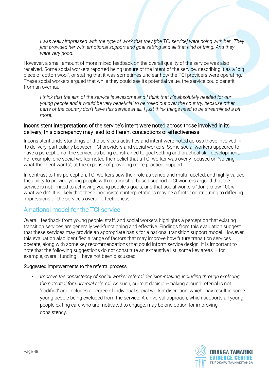*I was really impressed with the type of work that they [the TCI service] were doing with her…They just provided her with emotional support and goal setting and all that kind of thing. And they were very good.* 

However, a small amount of more mixed feedback on the overall quality of the service was also received. Some social workers reported being unsure of the intent of the service, describing it as a "big piece of cotton wool", or stating that it was sometimes unclear how the TCI providers were operating. These social workers argued that while they could see its potential value, the service could benefit from an overhaul:

*I think that the aim of the service is awesome and I think that it's absolutely needed for our young people and it would be very beneficial to be rolled out over the country, because other parts of the country don't have this service at all. I just think things need to be streamlined a bit more.* 

#### Inconsistent interpretations of the service's intent were noted across those involved in its delivery; this discrepancy may lead to different conceptions of effectiveness

Inconsistent understandings of the service's activities and intent were noted across those involved in its delivery, particularly between TCI providers and social workers. Some social workers appeared to have a perception of the service as being constrained to goal setting and practical skill development. For example, one social worker noted their belief that a TCI worker was overly focused on "voicing what the client wants", at the expense of providing more practical support.

In contrast to this perception, TCI workers saw their role as varied and multi-faceted, and highly valued the ability to provide young people with relationship-based support. TCI workers argued that the service is not limited to achieving young people's goals, and that social workers "don't know 100% what we do". It is likely that these inconsistent interpretations may be a factor contributing to differing impressions of the service's overall effectiveness.

#### <span id="page-47-0"></span>A national model for the TCI service

Overall, feedback from young people, staff, and social workers highlights a perception that existing transition services are generally well-functioning and effective. Findings from this evaluation suggest that these services may provide an appropriate basis for a national transition support model. However, this evaluation also identified a range of factors that may improve how future transition services operate, along with some key recommendations that could inform service design. It is important to note that the following suggestions do not constitute an exhaustive list; some key areas – for example, overall funding – have not been discussed.

#### Suggested improvements to the referral process

*Improve the consistency of social worker referral decision-making, including through exploring the potential for universal referral.* As such, current decision-making around referral is not 'codified' and includes a degree of individual social worker discretion, which may result in some young people being excluded from the service. A universal approach, which supports all young people exiting care who are motivated to engage, may be one option for improving consistency.

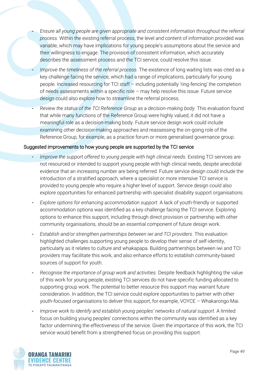- *Ensure all young people are given appropriate and consistent information throughout the referral process.* Within the existing referral process, the level and content of information provided was variable, which may have implications for young people's assumptions about the service and their willingness to engage. The provision of consistent information, which accurately describes the assessment process and the TCI service, could resolve this issue.
- *Improve the timeliness of the referral process.* The existence of long waiting lists was cited as a key challenge facing the service, which had a range of implications, particularly for young people. Increased resourcing for TCI staff – including potentially 'ring-fencing' the completion of needs assessments within a specific role – may help resolve this issue. Future service design could also explore how to streamline the referral process.
- *Review the status of the TCI Reference Group as a decision-making body.* This evaluation found that while many functions of the Reference Group were highly valued, it did not have a meaningful role as a decision-making body. Future service design work could include examining other decision-making approaches and reassessing the on-going role of the Reference Group, for example, as a practice forum or more generalised governance group.

#### Suggested improvements to how young people are supported by the TCI service

- *Improve the support offered to young people with high clinical needs.* Existing TCI services are not resourced or intended to support young people with high clinical needs, despite anecdotal evidence that an increasing number are being referred. Future service design could include the introduction of a stratified approach, where a specialist or more intensive TCI service is provided to young people who require a higher level of support. Service design could also explore opportunities for enhanced partnership with specialist disability support organisations.
- *Explore options for enhancing accommodation support.* A lack of youth-friendly or supported accommodation options was identified as a key challenge facing the TCI service. Exploring options to enhance this support, including through direct provision or partnership with other community organisations, should be an essential component of future design work.
- *Establish and/or strengthen partnerships between iwi and TCI providers.* This evaluation highlighted challenges supporting young people to develop their sense of self-identity, particularly as it relates to culture and whakapapa. Building partnerships between iwi and TCI providers may facilitate this work, and also enhance efforts to establish community-based sources of support for youth.
- *Recognise the importance of group work and activities.* Despite feedback highlighting the value of this work for young people, existing TCI services do not have specific funding allocated to supporting group work. The potential to better resource this support may warrant future consideration. In addition, the TCI service could explore opportunities to partner with other youth-focused organisations to deliver this support, for example, VOYCE – Whakarongo Mai.
- *Improve work to identify and establish young peoples' networks of natural support.* A limited focus on building young peoples' connections within the community was identified as a key factor undermining the effectiveness of the service. Given the importance of this work, the TCI service would benefit from a strengthened focus on providing this support.

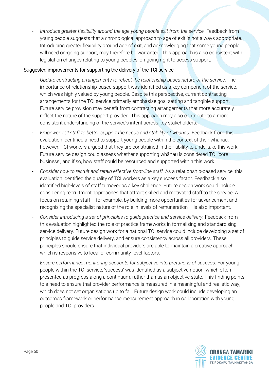Introduce greater flexibility around the age young people exit from the service. Feedback from young people suggests that a chronological approach to age of exit is not always appropriate. Introducing greater flexibility around age of exit, and acknowledging that some young people will need on-going support, may therefore be warranted. This approach is also consistent with legislation changes relating to young peoples' on-going right to access support.

#### Suggested improvements for supporting the delivery of the TCI service

- *Update contracting arrangements to reflect the relationship-based nature of the service.* The importance of relationship-based support was identified as a key component of the service, which was highly valued by young people. Despite this perspective, current contracting arrangements for the TCI service primarily emphasise goal setting and tangible support. Future service provision may benefit from contracting arrangements that more accurately reflect the nature of the support provided. This approach may also contribute to a more consistent understanding of the service's intent across key stakeholders.
- *Empower TCI staff to better support the needs and stability of whānau.* Feedback from this evaluation identified a need to support young people within the context of their whānau; however, TCI workers argued that they are constrained in their ability to undertake this work. Future service design could assess whether supporting whānau is considered TCI 'core business', and if so, how staff could be resourced and supported within this work.
- *Consider how to recruit and retain effective front-line staff.* As a relationship-based service, this evaluation identified the quality of TCI workers as a key success factor. Feedback also identified high-levels of staff turnover as a key challenge. Future design work could include considering recruitment approaches that attract skilled and motivated staff to the service. A focus on retaining staff – for example, by building more opportunities for advancement and recognising the specialist nature of the role in levels of remuneration – is also important.
- *Consider introducing a set of principles to guide practice and service delivery.* Feedback from this evaluation highlighted the role of practice frameworks in formalising and standardising service delivery. Future design work for a national TCI service could include developing a set of principles to guide service delivery, and ensure consistency across all providers. These principles should ensure that individual providers are able to maintain a creative approach, which is responsive to local or community-level factors.
- *Ensure performance monitoring accounts for subjective interpretations of success.* For young people within the TCI service, 'success' was identified as a subjective notion, which often presented as progress along a continuum, rather than as an objective state. This finding points to a need to ensure that provider performance is measured in a meaningful and realistic way, which does not set organisations up to fail. Future design work could include developing an outcomes framework or performance measurement approach in collaboration with young people and TCI providers.

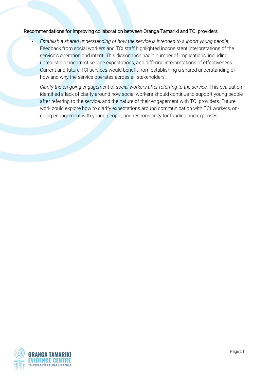#### Recommendations for improving collaboration between Oranga Tamariki and TCI providers

- *Establish a shared understanding of how the service is intended to support young people.* Feedback from social workers and TCI staff highlighted inconsistent interpretations of the service's operation and intent. This dissonance had a number of implications, including unrealistic or incorrect service expectations, and differing interpretations of effectiveness. Current and future TCI services would benefit from establishing a shared understanding of how and why the service operates across all stakeholders.
- *Clarify the on-going engagement of social workers after referring to the service.* This evaluation identified a lack of clarity around how social workers should continue to support young people after referring to the service, and the nature of their engagement with TCI providers. Future work could explore how to clarify expectations around communication with TCI workers, ongoing engagement with young people, and responsibility for funding and expenses.

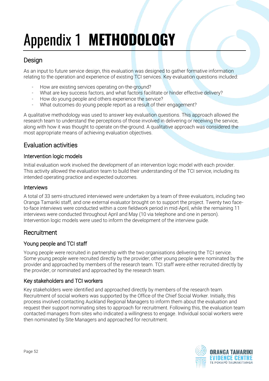## <span id="page-51-0"></span>Appendix 1 **METHODOLOGY**

#### Design

As an input to future service design, this evaluation was designed to gather formative information relating to the operation and experience of existing TCI services. Key evaluation questions included:

- How are existing services operating on-the-ground?
- What are key success factors, and what factors facilitate or hinder effective delivery?
- How do young people and others experience the service?
- What outcomes do young people report as a result of their engagement?

A qualitative methodology was used to answer key evaluation questions. This approach allowed the research team to understand the perceptions of those involved in delivering or receiving the service, along with how it was thought to operate on-the-ground. A qualitative approach was considered the most appropriate means of achieving evaluation objectives.

### Evaluation activities

#### Intervention logic models

Initial evaluation work involved the development of an intervention logic model with each provider. This activity allowed the evaluation team to build their understanding of the TCI service, including its intended operating practice and expected outcomes.

#### Interviews

A total of 33 semi-structured interviewed were undertaken by a team of three evaluators, including two Oranga Tamariki staff, and one external evaluator brought on to support the project. Twenty two faceto-face interviews were conducted within a core fieldwork period in mid-April, while the remaining 11 interviews were conducted throughout April and May (10 via telephone and one in person). Intervention logic models were used to inform the development of the interview guide.

#### **Recruitment**

#### Young people and TCI staff

Young people were recruited in partnership with the two organisations delivering the TCI service. Some young people were recruited directly by the provider; other young people were nominated by the provider and approached by members of the research team. TCI staff were either recruited directly by the provider, or nominated and approached by the research team.

#### Key stakeholders and TCI workers

Key stakeholders were identified and approached directly by members of the research team. Recruitment of social workers was supported by the Office of the Chief Social Worker. Initially, this process involved contacting Auckland Regional Managers to inform them about the evaluation and request their support nominating sites to approach for recruitment. Following this, the evaluation team contacted managers from sites who indicated a willingness to engage. Individual social workers were then nominated by Site Managers and approached for recruitment.

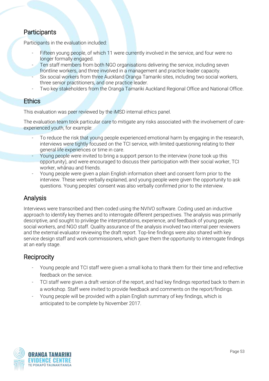#### **Participants**

Participants in the evaluation included:

- Fifteen young people, of which 11 were currently involved in the service, and four were no longer formally engaged.
- Ten staff members from both NGO organisations delivering the service, including seven frontline workers, and three involved in a management and practice leader capacity.
- Six social workers from three Auckland Oranga Tamariki sites, including two social workers, three senior practitioners, and one practice leader.
- Two key stakeholders from the Oranga Tamariki Auckland Regional Office and National Office.

#### **Ethics**

This evaluation was peer reviewed by the iMSD internal ethics panel.

The evaluation team took particular care to mitigate any risks associated with the involvement of careexperienced youth, for example:

- To reduce the risk that young people experienced emotional harm by engaging in the research, interviews were tightly focused on the TCI service, with limited questioning relating to their general life experiences or time in care.
- Young people were invited to bring a support person to the interview (none took up this opportunity), and were encouraged to discuss their participation with their social worker, TCI worker, whānau and friends.
- Young people were given a plain English information sheet and consent form prior to the interview. These were verbally explained, and young people were given the opportunity to ask questions. Young peoples' consent was also verbally confirmed prior to the interview.

### Analysis

Interviews were transcribed and then coded using the NVIVO software. Coding used an inductive approach to identify key themes and to interrogate different perspectives. The analysis was primarily descriptive, and sought to privilege the interpretations, experience, and feedback of young people, social workers, and NGO staff. Quality assurance of the analysis involved two internal peer reviewers and the external evaluator reviewing the draft report. Top-line findings were also shared with key service design staff and work commissioners, which gave them the opportunity to interrogate findings at an early stage.

#### **Reciprocity**

- Young people and TCI staff were given a small koha to thank them for their time and reflective feedback on the service.
- TCI staff were given a draft version of the report, and had key findings reported back to them in a workshop. Staff were invited to provide feedback and comments on the report/findings.
- Young people will be provided with a plain English summary of key findings, which is anticipated to be complete by November 2017.

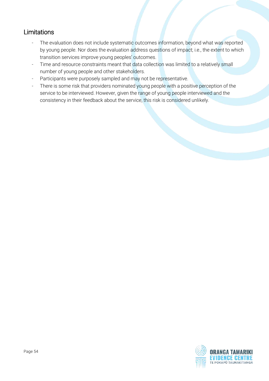### Limitations

- The evaluation does not include systematic outcomes information, beyond what was reported by young people. Nor does the evaluation address questions of impact; i.e., the extent to which transition services improve young peoples' outcomes.
- Time and resource constraints meant that data collection was limited to a relatively small number of young people and other stakeholders.
- Participants were purposely sampled and may not be representative.
- There is some risk that providers nominated young people with a positive perception of the service to be interviewed. However, given the range of young people interviewed and the consistency in their feedback about the service, this risk is considered unlikely.

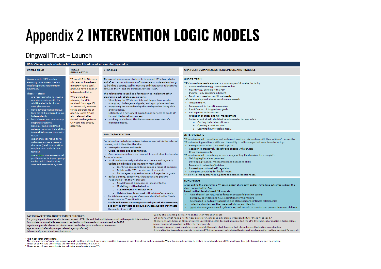### Appendix 2 **INTERVENTION LOGIC MODELS**

#### Dingwall Trust – Launch

#### <span id="page-54-0"></span>GOAL: Young people who have left care are interdependent, contributing adults.<br>UNMET NEED TARGET POPULATION STRATEGY **UNMET NEED STRATEGY CHANGES TO AWARENESS, PERCEPTION, AND PRACTICE** Young people (YP) leaving YP aned 15 to 20 years The overall programme strategy is to support YP before, during SHORT-TERM statutory care in New Zealand and after transition from out-of-home care to independent living, who are, or have been. YP's immediate needs are met across a range of domains, including: need support transitioning to in out-of-home care<sup>1</sup>. by building a strong, stable, trusting and therapeutic relationship Accommodation - eq. somewhere to live adulthood. and who have a goal of between the YP and the Personal Advisor (PA)<sup>2</sup>. . Health - eq. enrolled with a GP independent living. These YP often: This relationship is used as a foundation to implement other · Income - eg, accessing a benefit · Food - eq. meeting nutritional needs. are recovering from trauma While transition programme sub-strategies, including: and abuse, along with the YP's relationship with the PA results in increased: planning for YP is · Identifying the YP's immediate and longer-term needs. - Trust in the PA additional effects of poor required from age 15, strengths, challenges and goals, and appropriate services. · Engagement in transition planning care placements YP are usually referred . Supporting the YP to develop their independent living skills · Identification of longer-term goals have developmental delays and resilience. to the programme at · Particination with services lack the skills required to live age 16. Some YP are . Establishing a network of supports and services to quide YP independently also referred after through the transition process · Mitigation of crises and risk management - Achievement of self-identified tangible goals, for example<sup>3</sup>: lack whanau and community formal discharge from . Working in a holistic, flexible manner to meet the YP's o Getting their drivers licence support structures CYF care has already individual needs o Opening a bank account have low social skills/selfoccurred. o Learning how to cook a meal. esteem, reducing their abilit to establish connections with **INPUTS/ACTIVITIES INTERMEDIATE** others experience poor long-term YP has developed connections and sustained, positive relationships with their whanau/community. Social worker undertakes a Needs Assessment within the referral outcomes across a range of YP is developing resilience skills and the ability to self-manage their own lives, including: process, which identifies the YP's: domains (health, education, - Recognition of when they need support . Strengths, wishes and needs. employment and criminal · Capacity to proactively identify and engage with services · Goals, barriers and opportunities. instice) · Crisis management. . Appropriate assistance and support to meet identified needs. experience intergenerational YP has developed competency across a range of key life domains, for example<sup>4</sup>: Personal Advisor problems, including on-going · Gaining legitimate employment · Works collaboratively with the YP to create and regularly contact with the statutory · Developing financial management and budgeting skills undate an individualised Transition Plan, which: care and protection system. · Engaging in education/training o Identifies goals and tasks across a range of domains · Increasing emotional self-regulation o Builds on the YP's previous achievements · Taking responsibility for health needs o Encourages progression towards longer-term goals. YP is linked into appropriate supports to address specific needs. . Builds a strong, supportive, therapeutic and positive relationship with the YP through: **LONG-TERM** o Providing real-time, one-on-one mentoring After exiting the programme, YP can maintain short-term and/or immediate outcomes without the o Modelling positive behaviour direct support of the PA. o Supporting the YP though crisis Based on their level of need, YP may also: o Helping them to connect with whanau/community. . have the skill set required to function successfully within society Facilitates access to grants/services identified in the Needs . be happy, confident and have aspirations for their future Assessment or Transition Plan. . be engaged in mutually supportive and stable personal/intimate relationships Builds and maintains strong relationships with the community . understand and accept their personal history and identity and service providers to procure services/support that meets break the intergenerational cycle of CYF, and be able to care for and protect their own children. the needs of each YP.

#### **FACTORS AFFECTING ABILITY TO MEET OUTCOMES**

On-going impact of trauma affects every aspect of YP's life and their ability to respond to therapeutic interventions Incomplete or unavailable assessment can lead to undiagnosed and unmet need, eg FASDS Significant periods of time out of education can lead to poor academic achievement Age at time of referral (younger referral age is preferred) Influence of parental and peer behaviour

Ouality of relationship between VP and PA: staff retention issues

CVF culture, which has a priority focus on children, and sees a discharge of responsibility for these VP at age 17

Obligation to discharge at 20 is considered unrealistic, as this does not always reflect the YP's development or readiness for transition Socioeconomic deprivation and the effects of poverty

Resourcing issues (service and placement availability, particularly housing; lack of employment/education opportunities Criminal justice issues (no access to imprisoned YP; imprisonment outside Auckland; court involvement for matters outside YP's control)

#### : And meet other entry criteria.

The personal advisor's role is to support youth in making a planned, successful transition from care to interdependence in the community. There is no requirement to be trained in social work, but all PAs participate in reg <sup>2</sup> These goals will vary according to the individual goals/needs of each YP.<br>"These goals will vary according to the individual goals/needs of each YP.